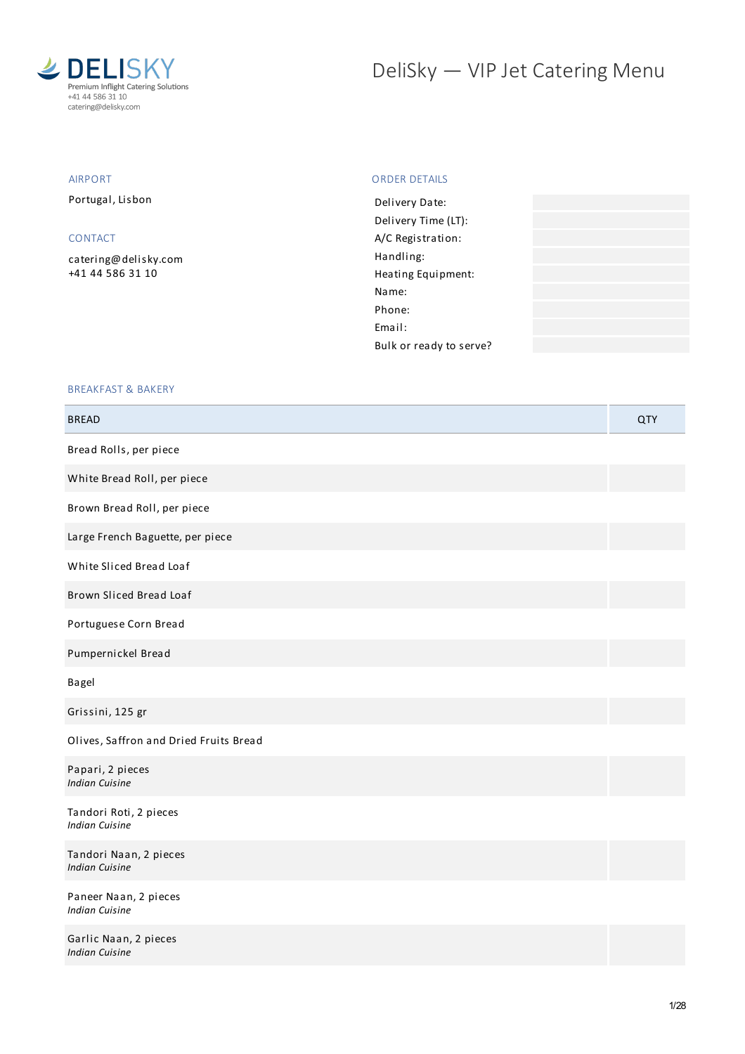

## DeliSky - VIP Jet Catering Menu

### AIRPORT

Portugal, Lisbon

### CONTACT

[catering@delisky.com](mailto:catering@delisky.com) +41 44 586 31 10

#### ORDER DETAILS

| Delivery Date:          |  |
|-------------------------|--|
| Delivery Time (LT):     |  |
| A/C Registration:       |  |
| Handling:               |  |
| Heating Equipment:      |  |
| Name:                   |  |
| Phone:                  |  |
| Fmail:                  |  |
| Bulk or ready to serve? |  |
|                         |  |

#### BREAKFAST & BAKERY

| <b>BREAD</b>                                    | <b>QTY</b> |
|-------------------------------------------------|------------|
| Bread Rolls, per piece                          |            |
| White Bread Roll, per piece                     |            |
| Brown Bread Roll, per piece                     |            |
| Large French Baguette, per piece                |            |
| White Sliced Bread Loaf                         |            |
| Brown Sliced Bread Loaf                         |            |
| Portuguese Corn Bread                           |            |
| Pumpernickel Bread                              |            |
| Bagel                                           |            |
| Grissini, 125 gr                                |            |
| Olives, Saffron and Dried Fruits Bread          |            |
| Papari, 2 pieces<br><b>Indian Cuisine</b>       |            |
| Tandori Roti, 2 pieces<br><b>Indian Cuisine</b> |            |
| Tandori Naan, 2 pieces<br><b>Indian Cuisine</b> |            |
| Paneer Naan, 2 pieces<br><b>Indian Cuisine</b>  |            |
| Garlic Naan, 2 pieces<br><b>Indian Cuisine</b>  |            |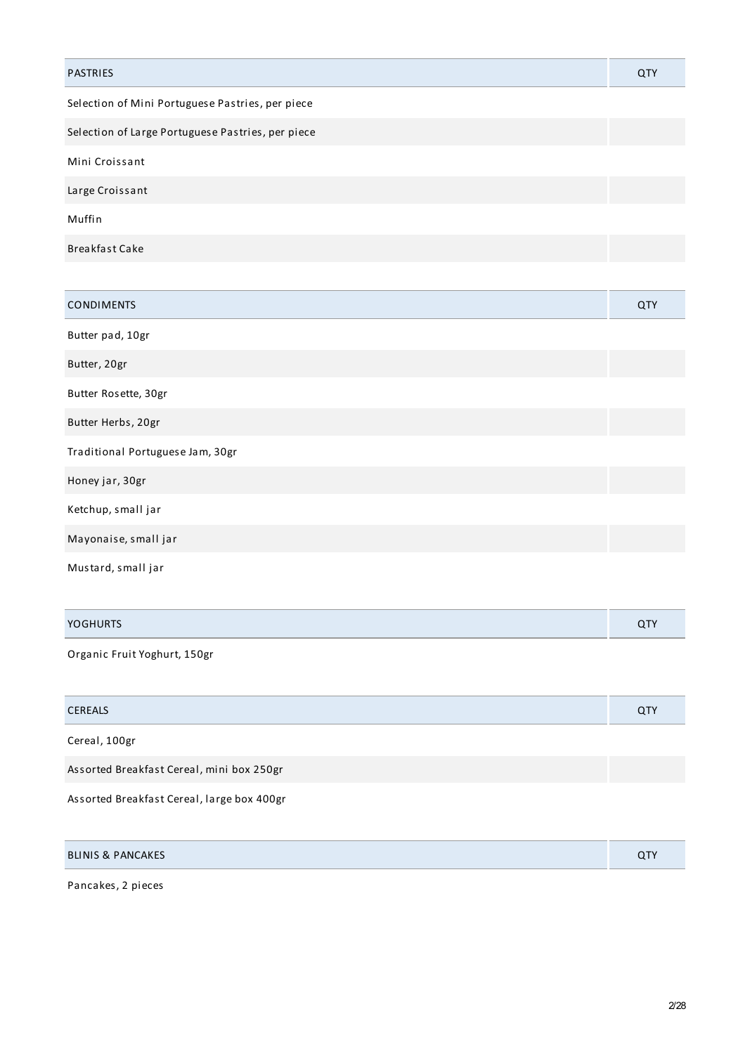| <b>PASTRIES</b>                                   | QTY |
|---------------------------------------------------|-----|
| Selection of Mini Portuguese Pastries, per piece  |     |
| Selection of Large Portuguese Pastries, per piece |     |
| Mini Croissant                                    |     |
| Large Croissant                                   |     |
| Muffin                                            |     |
| Breakfast Cake                                    |     |
|                                                   |     |

| <b>CONDIMENTS</b>                | QTY |
|----------------------------------|-----|
| Butter pad, 10gr                 |     |
| Butter, 20gr                     |     |
| Butter Rosette, 30gr             |     |
| Butter Herbs, 20gr               |     |
| Traditional Portuguese Jam, 30gr |     |
| Honey jar, 30gr                  |     |
| Ketchup, small jar               |     |
| Mayonaise, small jar             |     |
| Mustard, small jar               |     |

| <b>YOGHURTS</b><br>. | <b>QTY</b> |
|----------------------|------------|
|                      |            |

Organic Fruit Yoghurt, 150gr

| <b>CEREALS</b>                             | <b>QTY</b> |
|--------------------------------------------|------------|
| Cereal, 100gr                              |            |
| Assorted Breakfast Cereal, mini box 250gr  |            |
| Assorted Breakfast Cereal, large box 400gr |            |

| <b>BLINIS &amp; PANCAKES</b> | $\sim$ Ty<br>$\mathbf u$ |
|------------------------------|--------------------------|
|------------------------------|--------------------------|

Pancakes, 2 pieces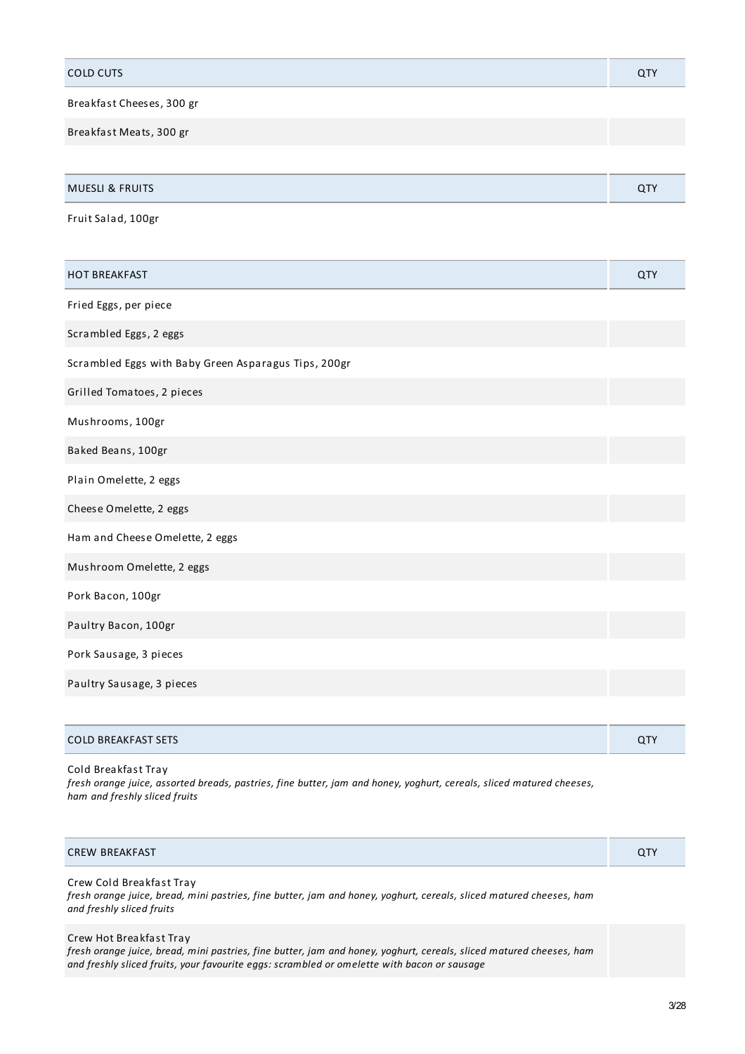| <b>COLD CUTS</b>                                     | QTY |
|------------------------------------------------------|-----|
| Breakfast Cheeses, 300 gr                            |     |
| Breakfast Meats, 300 gr                              |     |
|                                                      |     |
| <b>MUESLI &amp; FRUITS</b>                           | QTY |
| Fruit Salad, 100gr                                   |     |
|                                                      |     |
| <b>HOT BREAKFAST</b>                                 | QTY |
| Fried Eggs, per piece                                |     |
| Scrambled Eggs, 2 eggs                               |     |
| Scrambled Eggs with Baby Green Asparagus Tips, 200gr |     |
| Grilled Tomatoes, 2 pieces                           |     |
| Mushrooms, 100gr                                     |     |
| Baked Beans, 100gr                                   |     |
| Plain Omelette, 2 eggs                               |     |
| Cheese Omelette, 2 eggs                              |     |
| Ham and Cheese Omelette, 2 eggs                      |     |
| Mushroom Omelette, 2 eggs                            |     |
| Pork Bacon, 100gr                                    |     |
| Paultry Bacon, 100gr                                 |     |
| Pork Sausage, 3 pieces                               |     |
| Paultry Sausage, 3 pieces                            |     |
|                                                      |     |

| <b>COLD BREAKFAST SETS</b> |  |
|----------------------------|--|
|                            |  |

Cold Breakfast Tray fresh orange juice, assorted breads, pastries, fine butter, jam and honey, yoghurt, cereals, sliced matured cheeses, *ham and freshly sliced fruits*

| BREAKFAST<br><b>CREW</b><br>ິ<br>- |
|------------------------------------|
|------------------------------------|

## Crew Cold Breakfast Tray

fresh orange juice, bread, mini pastries, fine butter, jam and honey, yoghurt, cereals, sliced matured cheeses, ham *and freshly sliced fruits*

## Crew Hot Breakfast Tray

fresh orange juice, bread, mini pastries, fine butter, jam and honey, yoghurt, cereals, sliced matured cheeses, ham *and freshly sliced fruits, your favourite eggs: scrambled or omelette with bacon or sausage*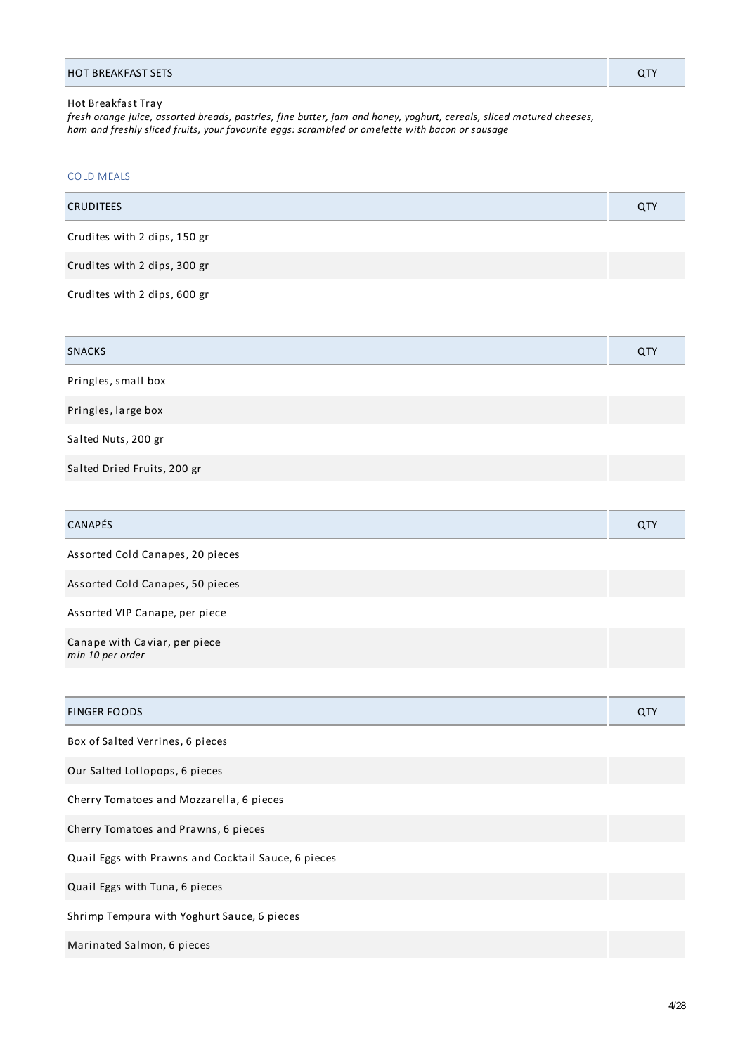### Hot Breakfast Tray

fresh orange juice, assorted breads, pastries, fine butter, jam and honey, yoghurt, cereals, sliced matured cheeses, *ham and freshly sliced fruits, your favourite eggs: scrambled or omelette with bacon or sausage*

| <b>COLD MEALS</b>                |     |
|----------------------------------|-----|
| <b>CRUDITEES</b>                 | QTY |
| Crudites with 2 dips, 150 gr     |     |
| Crudites with 2 dips, 300 gr     |     |
| Crudites with 2 dips, 600 gr     |     |
|                                  |     |
| <b>SNACKS</b>                    | QTY |
| Pringles, small box              |     |
|                                  |     |
| Pringles, large box              |     |
| Salted Nuts, 200 gr              |     |
| Salted Dried Fruits, 200 gr      |     |
|                                  |     |
| CANAPÉS                          | QTY |
| Assorted Cold Canapes, 20 pieces |     |

Assorted Cold Canapes, 50 pieces

Assorted VIP Canape, per piece

Canape with Caviar, per piece *min 10 per order*

| <b>FINGER FOODS</b>                                 | QTY |
|-----------------------------------------------------|-----|
| Box of Salted Verrines, 6 pieces                    |     |
| Our Salted Lollopops, 6 pieces                      |     |
| Cherry Tomatoes and Mozzarella, 6 pieces            |     |
| Cherry Tomatoes and Prawns, 6 pieces                |     |
| Quail Eggs with Prawns and Cocktail Sauce, 6 pieces |     |
| Quail Eggs with Tuna, 6 pieces                      |     |
| Shrimp Tempura with Yoghurt Sauce, 6 pieces         |     |
| Marinated Salmon, 6 pieces                          |     |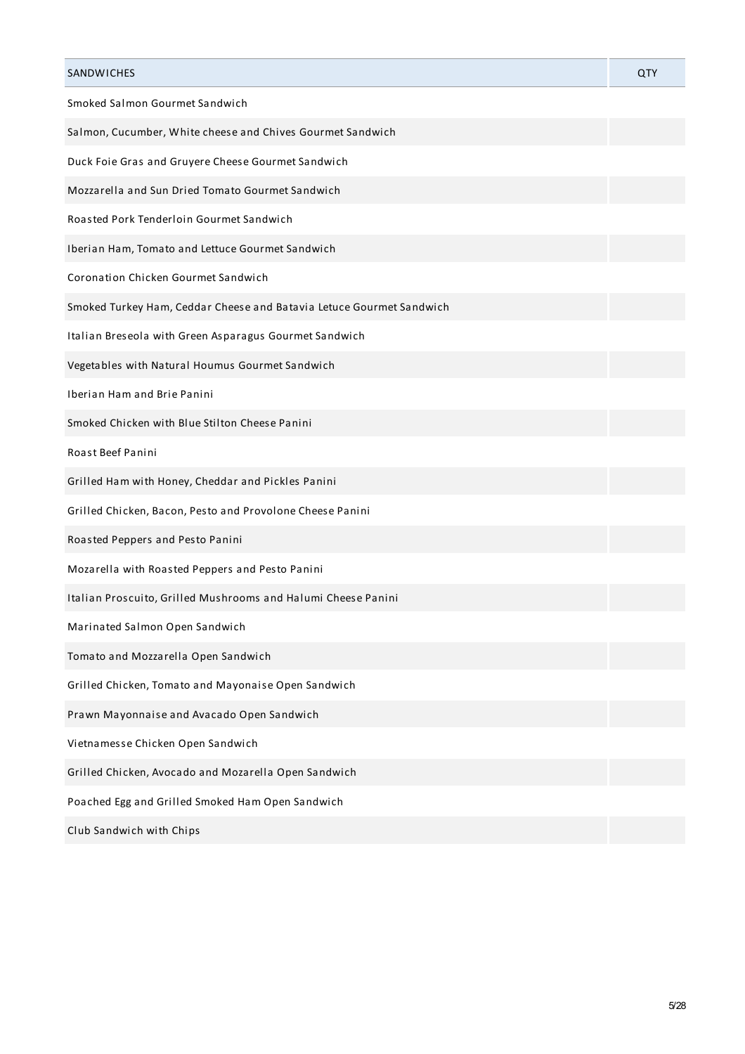| SANDWICHES                                                           | QTY |
|----------------------------------------------------------------------|-----|
| Smoked Salmon Gourmet Sandwich                                       |     |
| Salmon, Cucumber, White cheese and Chives Gourmet Sandwich           |     |
| Duck Foie Gras and Gruyere Cheese Gourmet Sandwich                   |     |
| Mozzarella and Sun Dried Tomato Gourmet Sandwich                     |     |
| Roasted Pork Tenderloin Gourmet Sandwich                             |     |
| Iberian Ham, Tomato and Lettuce Gourmet Sandwich                     |     |
| Coronation Chicken Gourmet Sandwich                                  |     |
| Smoked Turkey Ham, Ceddar Cheese and Batavia Letuce Gourmet Sandwich |     |
| Italian Breseola with Green Asparagus Gourmet Sandwich               |     |
| Vegetables with Natural Houmus Gourmet Sandwich                      |     |
| Iberian Ham and Brie Panini                                          |     |
| Smoked Chicken with Blue Stilton Cheese Panini                       |     |
| Roast Beef Panini                                                    |     |
| Grilled Ham with Honey, Cheddar and Pickles Panini                   |     |
| Grilled Chicken, Bacon, Pesto and Provolone Cheese Panini            |     |
| Roasted Peppers and Pesto Panini                                     |     |
| Mozarella with Roasted Peppers and Pesto Panini                      |     |
| Italian Proscuito, Grilled Mushrooms and Halumi Cheese Panini        |     |
| Marinated Salmon Open Sandwich                                       |     |
| Tomato and Mozzarella Open Sandwich                                  |     |
| Grilled Chicken, Tomato and Mayonaise Open Sandwich                  |     |
| Prawn Mayonnaise and Avacado Open Sandwich                           |     |
| Vietnamesse Chicken Open Sandwich                                    |     |
| Grilled Chicken, Avocado and Mozarella Open Sandwich                 |     |
| Poached Egg and Grilled Smoked Ham Open Sandwich                     |     |
| Club Sandwich with Chips                                             |     |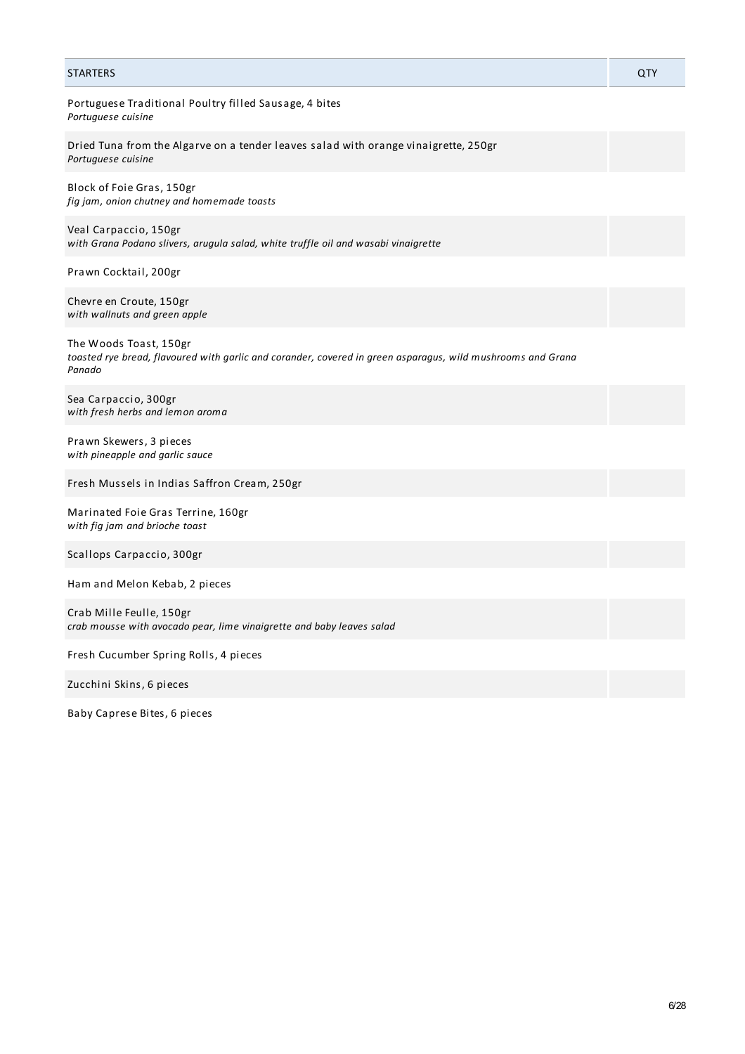| <b>STARTERS</b>                                                                                                                                 | <b>QTY</b> |
|-------------------------------------------------------------------------------------------------------------------------------------------------|------------|
| Portuguese Traditional Poultry filled Sausage, 4 bites<br>Portuguese cuisine                                                                    |            |
| Dried Tuna from the Algarve on a tender leaves salad with orange vinaigrette, 250gr<br>Portuguese cuisine                                       |            |
| Block of Foie Gras, 150gr<br>fig jam, onion chutney and homemade toasts                                                                         |            |
| Veal Carpaccio, 150gr<br>with Grana Podano slivers, arugula salad, white truffle oil and wasabi vinaigrette                                     |            |
| Prawn Cocktail, 200gr                                                                                                                           |            |
| Chevre en Croute, 150gr<br>with wallnuts and green apple                                                                                        |            |
| The Woods Toast, 150gr<br>toasted rye bread, flavoured with garlic and corander, covered in green asparagus, wild mushrooms and Grana<br>Panado |            |
| Sea Carpaccio, 300gr<br>with fresh herbs and lemon aroma                                                                                        |            |
| Prawn Skewers, 3 pieces<br>with pineapple and garlic sauce                                                                                      |            |
| Fresh Mussels in Indias Saffron Cream, 250gr                                                                                                    |            |
| Marinated Foie Gras Terrine, 160gr<br>with fig jam and brioche toast                                                                            |            |
| Scallops Carpaccio, 300gr                                                                                                                       |            |
| Ham and Melon Kebab, 2 pieces                                                                                                                   |            |
| Crab Mille Feulle, 150gr<br>crab mousse with avocado pear, lime vinaigrette and baby leaves salad                                               |            |
| Fresh Cucumber Spring Rolls, 4 pieces                                                                                                           |            |
| Zucchini Skins, 6 pieces                                                                                                                        |            |

Baby Caprese Bites, 6 pieces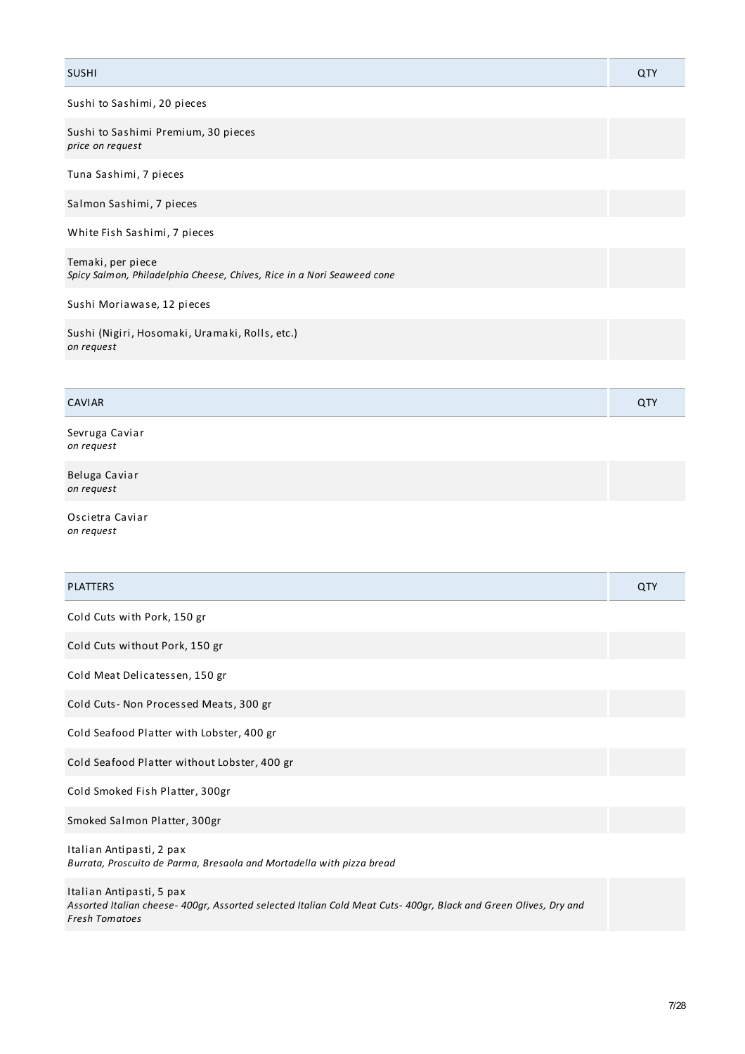## SUSHI QTY Sushi to Sashimi, 20 pieces Sushi to Sashimi Premium, 30 pieces *price on request* Tuna Sashimi, 7 pieces Salmon Sashimi, 7 pieces White Fish Sashimi, 7 pieces Temaki, per piece *Spicy Salmon, Philadelphia Cheese, Chives, Rice in a Nori Seaweed cone* Sushi Moriawase, 12 pieces Sushi (Nigiri, Hosomaki, Uramaki, Rolls, etc.) *on request*

## CAVIAR QTY

Sevruga Caviar *on request*

Beluga Caviar *on request*

Oscietra Caviar *on request*

| <b>PLATTERS</b>                                                                                                                                                       | QTY |
|-----------------------------------------------------------------------------------------------------------------------------------------------------------------------|-----|
| Cold Cuts with Pork, 150 gr                                                                                                                                           |     |
| Cold Cuts without Pork, 150 gr                                                                                                                                        |     |
| Cold Meat Delicatessen, 150 gr                                                                                                                                        |     |
| Cold Cuts-Non Processed Meats, 300 gr                                                                                                                                 |     |
| Cold Seafood Platter with Lobster, 400 gr                                                                                                                             |     |
| Cold Seafood Platter without Lobster, 400 gr                                                                                                                          |     |
| Cold Smoked Fish Platter, 300gr                                                                                                                                       |     |
| Smoked Salmon Platter, 300gr                                                                                                                                          |     |
| Italian Antipasti, 2 pax<br>Burrata, Proscuito de Parma, Bresaola and Mortadella with pizza bread                                                                     |     |
| Italian Antipasti, 5 pax<br>Assorted Italian cheese- 400gr, Assorted selected Italian Cold Meat Cuts- 400gr, Black and Green Olives, Dry and<br><b>Fresh Tomatoes</b> |     |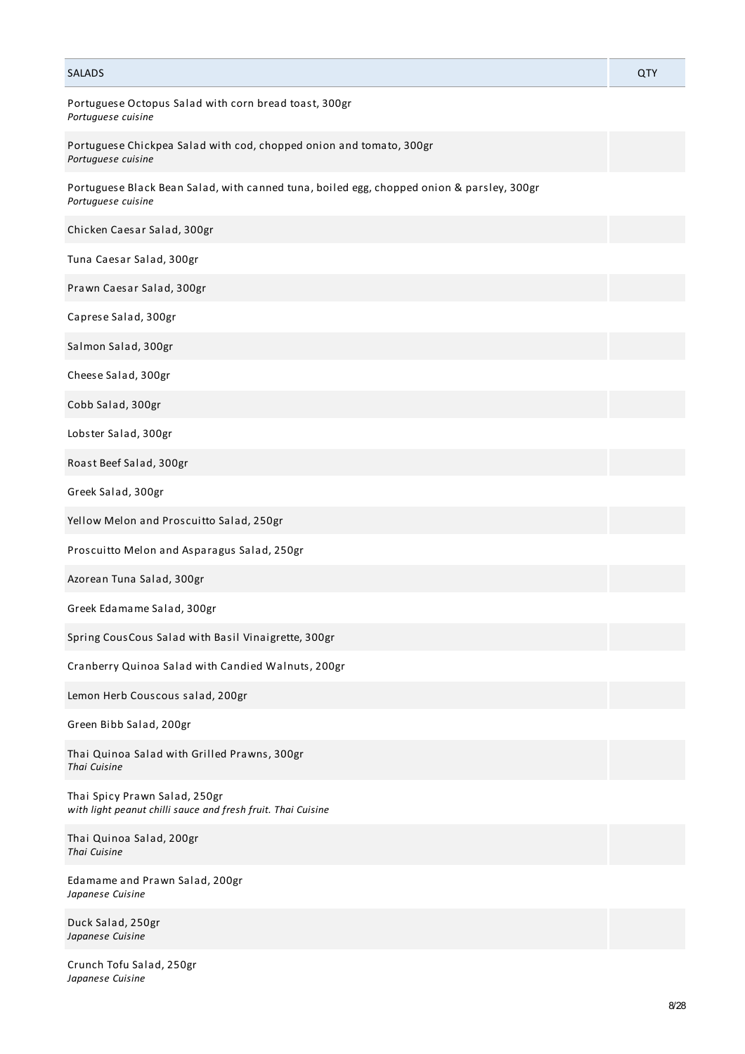| <b>SALADS</b>                                                                                                   | QTY |
|-----------------------------------------------------------------------------------------------------------------|-----|
| Portuguese Octopus Salad with corn bread toast, 300gr<br>Portuguese cuisine                                     |     |
| Portuguese Chickpea Salad with cod, chopped onion and tomato, 300gr<br>Portuguese cuisine                       |     |
| Portuguese Black Bean Salad, with canned tuna, boiled egg, chopped onion & parsley, 300gr<br>Portuguese cuisine |     |
| Chicken Caesar Salad, 300gr                                                                                     |     |
| Tuna Caesar Salad, 300gr                                                                                        |     |
| Prawn Caesar Salad, 300gr                                                                                       |     |
| Caprese Salad, 300gr                                                                                            |     |
| Salmon Salad, 300gr                                                                                             |     |
| Cheese Salad, 300gr                                                                                             |     |
| Cobb Salad, 300gr                                                                                               |     |
| Lobster Salad, 300gr                                                                                            |     |
| Roast Beef Salad, 300gr                                                                                         |     |
| Greek Salad, 300gr                                                                                              |     |
| Yellow Melon and Proscuitto Salad, 250gr                                                                        |     |
| Proscuitto Melon and Asparagus Salad, 250gr                                                                     |     |
| Azorean Tuna Salad, 300gr                                                                                       |     |
| Greek Edamame Salad, 300gr                                                                                      |     |
| Spring CousCous Salad with Basil Vinaigrette, 300gr                                                             |     |
| Cranberry Quinoa Salad with Candied Walnuts, 200gr                                                              |     |
| Lemon Herb Couscous salad, 200gr                                                                                |     |
| Green Bibb Salad, 200gr                                                                                         |     |
| Thai Quinoa Salad with Grilled Prawns, 300gr<br>Thai Cuisine                                                    |     |
| Thai Spicy Prawn Salad, 250gr<br>with light peanut chilli sauce and fresh fruit. Thai Cuisine                   |     |
| Thai Quinoa Salad, 200gr<br>Thai Cuisine                                                                        |     |
| Edamame and Prawn Salad, 200gr<br>Japanese Cuisine                                                              |     |
| Duck Salad, 250gr<br>Japanese Cuisine                                                                           |     |
|                                                                                                                 |     |

Crunch Tofu Salad, 250gr *Japanese Cuisine*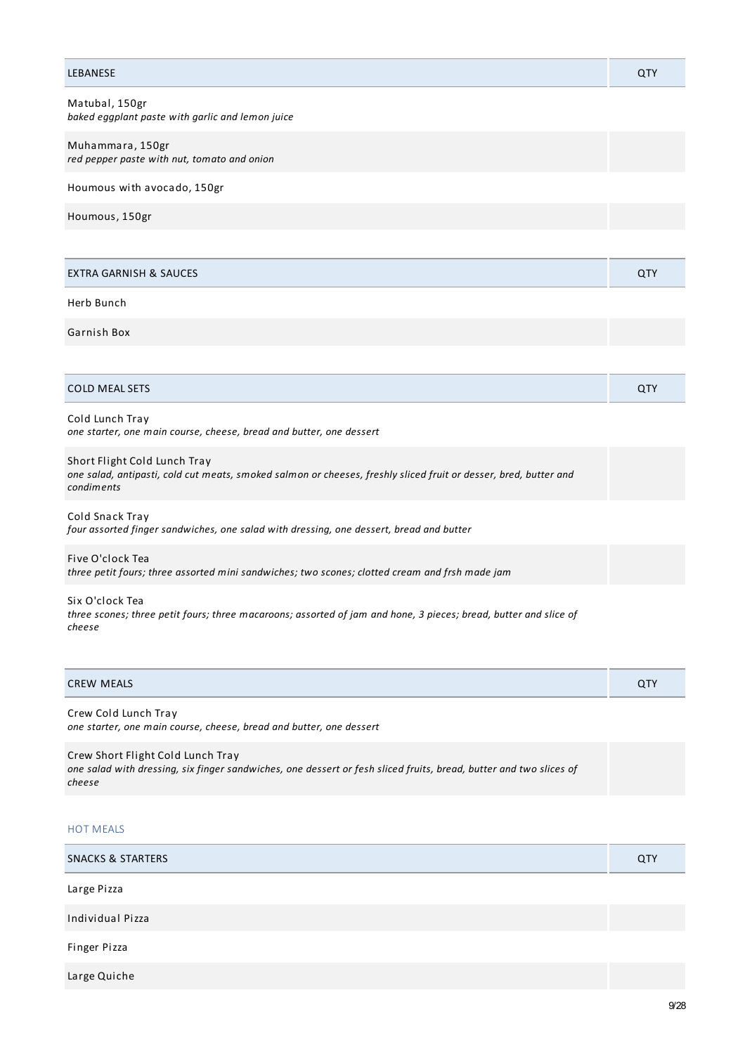| <b>LEBANESE</b>                                                                                                                                                | QTY |
|----------------------------------------------------------------------------------------------------------------------------------------------------------------|-----|
| Matubal, 150gr<br>baked eggplant paste with garlic and lemon juice                                                                                             |     |
| Muhammara, 150gr<br>red pepper paste with nut, tomato and onion                                                                                                |     |
| Houmous with avocado, 150gr                                                                                                                                    |     |
| Houmous, 150gr                                                                                                                                                 |     |
|                                                                                                                                                                |     |
| <b>EXTRA GARNISH &amp; SAUCES</b>                                                                                                                              | QTY |
| Herb Bunch                                                                                                                                                     |     |
| Garnish Box                                                                                                                                                    |     |
|                                                                                                                                                                |     |
| <b>COLD MEAL SETS</b>                                                                                                                                          | QTY |
| Cold Lunch Tray<br>one starter, one main course, cheese, bread and butter, one dessert                                                                         |     |
| Short Flight Cold Lunch Tray<br>one salad, antipasti, cold cut meats, smoked salmon or cheeses, freshly sliced fruit or desser, bred, butter and<br>condiments |     |
| Cold Snack Tray<br>four assorted finger sandwiches, one salad with dressing, one dessert, bread and butter                                                     |     |
| Five O'clock Tea<br>three petit fours; three assorted mini sandwiches; two scones; clotted cream and frsh made jam                                             |     |
| Six O'clock Tea<br>three scones; three petit fours; three macaroons; assorted of jam and hone, 3 pieces; bread, butter and slice of<br>cheese                  |     |
| <b>CREW MEALS</b>                                                                                                                                              | QTY |
| Crew Cold Lunch Tray<br>one starter, one main course, cheese, bread and butter, one dessert                                                                    |     |

Crew Short Flight Cold Lunch Tray one salad with dressing, six finger sandwiches, one dessert or fesh sliced fruits, bread, butter and two slices of *cheese*

## HOT MEALS

| <b>SNACKS &amp; STARTERS</b> | QTY |
|------------------------------|-----|
| Large Pizza                  |     |
| Individual Pizza             |     |
| Finger Pizza                 |     |
| Large Quiche                 |     |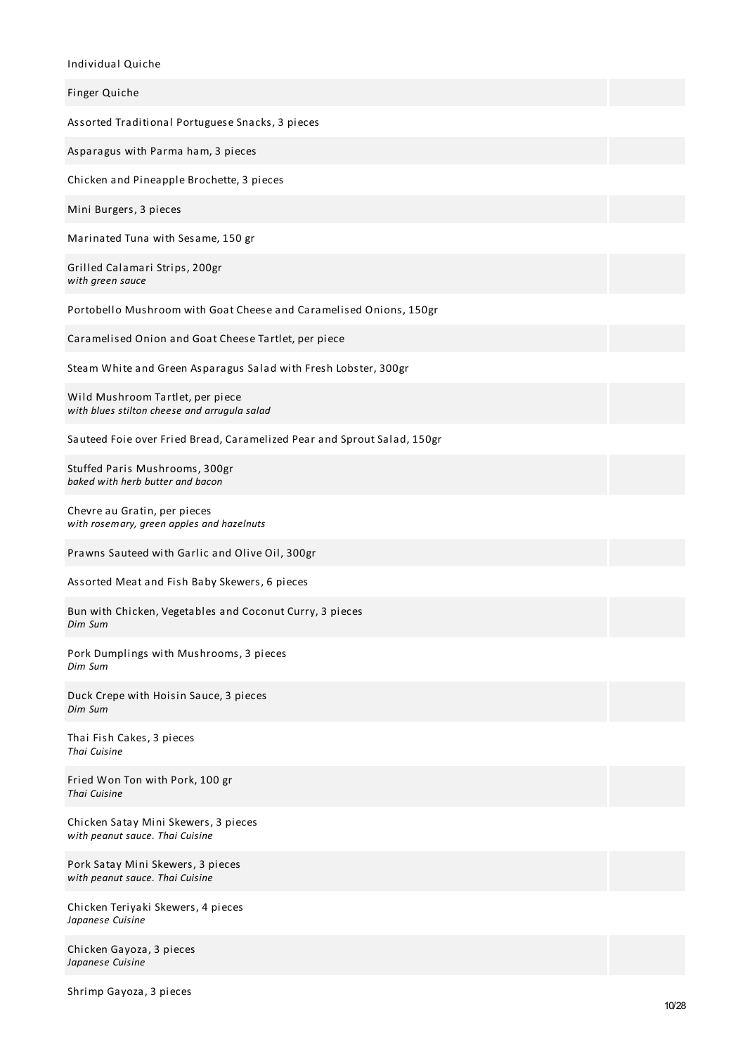Individual Quiche

| mulviqual Quiche                                                                 |
|----------------------------------------------------------------------------------|
| Finger Quiche                                                                    |
| Assorted Traditional Portuguese Snacks, 3 pieces                                 |
| Asparagus with Parma ham, 3 pieces                                               |
| Chicken and Pineapple Brochette, 3 pieces                                        |
| Mini Burgers, 3 pieces                                                           |
| Marinated Tuna with Sesame, 150 gr                                               |
| Grilled Calamari Strips, 200gr<br>with green sauce                               |
| Portobello Mushroom with Goat Cheese and Caramelised Onions, 150gr               |
| Caramelised Onion and Goat Cheese Tartlet, per piece                             |
| Steam White and Green Asparagus Salad with Fresh Lobster, 300gr                  |
| Wild Mushroom Tartlet, per piece<br>with blues stilton cheese and arrugula salad |
| Sauteed Foie over Fried Bread, Caramelized Pear and Sprout Salad, 150gr          |
| Stuffed Paris Mushrooms, 300gr<br>baked with herb butter and bacon               |
| Chevre au Gratin, per pieces<br>with rosemary, green apples and hazelnuts        |
| Prawns Sauteed with Garlic and Olive Oil, 300gr                                  |
| Assorted Meat and Fish Baby Skewers, 6 pieces                                    |
| Bun with Chicken, Vegetables and Coconut Curry, 3 pieces<br>Dim Sum              |
| Pork Dumplings with Mushrooms, 3 pieces<br>Dim Sum                               |
| Duck Crepe with Hoisin Sauce, 3 pieces<br>Dim Sum                                |
| Thai Fish Cakes, 3 pieces<br>Thai Cuisine                                        |
| Fried Won Ton with Pork, 100 gr<br><b>Thai Cuisine</b>                           |
| Chicken Satay Mini Skewers, 3 pieces<br>with peanut sauce. Thai Cuisine          |
| Pork Satay Mini Skewers, 3 pieces<br>with peanut sauce. Thai Cuisine             |
| Chicken Teriyaki Skewers, 4 pieces<br>Japanese Cuisine                           |
| Chicken Gayoza, 3 pieces                                                         |

Shrimp Gayoza, 3 pieces

*Japanese Cuisine*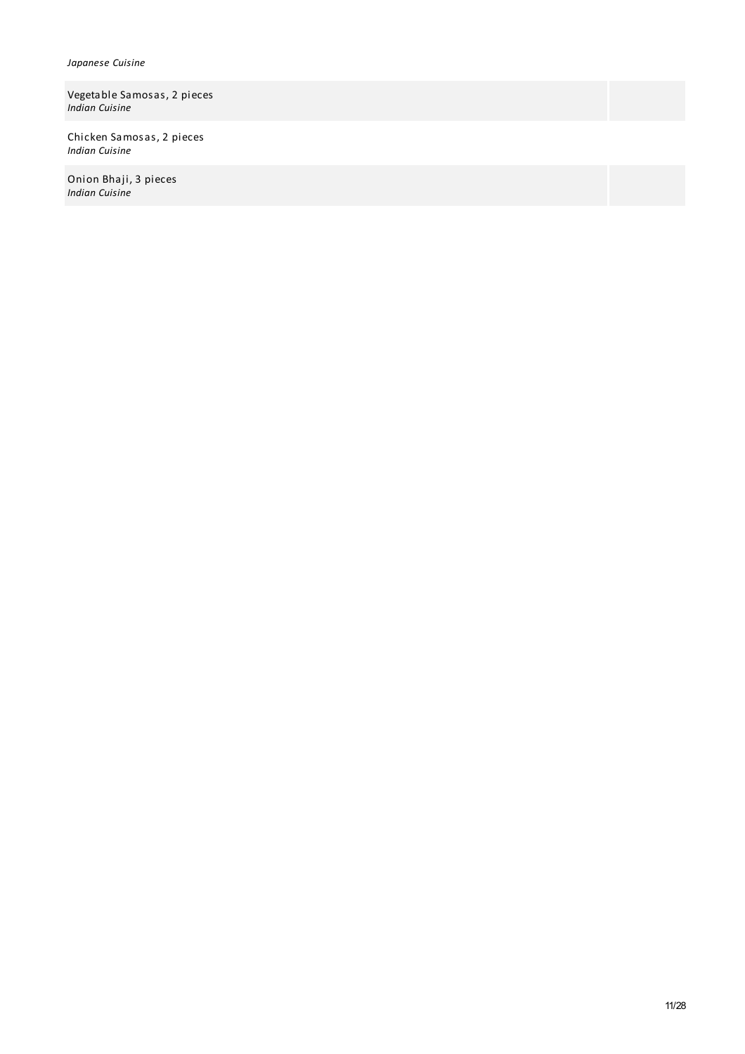### *Japanese Cuisine*

Vegetable Samosas, 2 pieces *Indian Cuisine*

Chicken Samosas, 2 pieces *Indian Cuisine*

Onion Bhaji, 3 pieces *Indian Cuisine*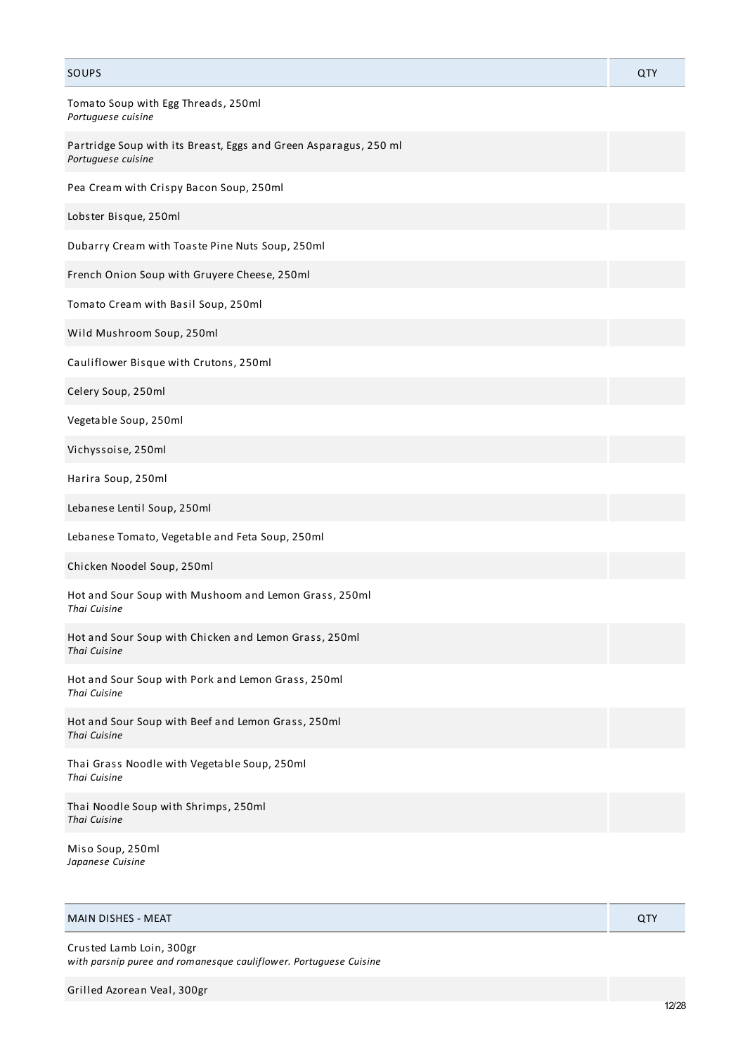| SOUPS                                                                                  | QTY |
|----------------------------------------------------------------------------------------|-----|
| Tomato Soup with Egg Threads, 250ml<br>Portuguese cuisine                              |     |
| Partridge Soup with its Breast, Eggs and Green Asparagus, 250 ml<br>Portuguese cuisine |     |
| Pea Cream with Crispy Bacon Soup, 250ml                                                |     |
| Lobster Bisque, 250ml                                                                  |     |
| Dubarry Cream with Toaste Pine Nuts Soup, 250ml                                        |     |
| French Onion Soup with Gruyere Cheese, 250ml                                           |     |
| Tomato Cream with Basil Soup, 250ml                                                    |     |
| Wild Mushroom Soup, 250ml                                                              |     |
| Cauliflower Bisque with Crutons, 250ml                                                 |     |
| Celery Soup, 250ml                                                                     |     |
| Vegetable Soup, 250ml                                                                  |     |
| Vichyssoise, 250ml                                                                     |     |
| Harira Soup, 250ml                                                                     |     |
| Lebanese Lentil Soup, 250ml                                                            |     |
| Lebanese Tomato, Vegetable and Feta Soup, 250ml                                        |     |
| Chicken Noodel Soup, 250ml                                                             |     |
| Hot and Sour Soup with Mushoom and Lemon Grass, 250ml<br>Thai Cuisine                  |     |
| Hot and Sour Soup with Chicken and Lemon Grass, 250ml<br>Thai Cuisine                  |     |
| Hot and Sour Soup with Pork and Lemon Grass, 250ml<br>Thai Cuisine                     |     |
| Hot and Sour Soup with Beef and Lemon Grass, 250ml<br>Thai Cuisine                     |     |
| Thai Grass Noodle with Vegetable Soup, 250ml<br>Thai Cuisine                           |     |
| Thai Noodle Soup with Shrimps, 250ml<br>Thai Cuisine                                   |     |
| Miso Soup, 250ml<br>Japanese Cuisine                                                   |     |

## MAIN DISHES - MEAT QTY

Crusted Lamb Loin, 300gr *with parsnip puree and romanesque cauliflower. Portuguese Cuisine*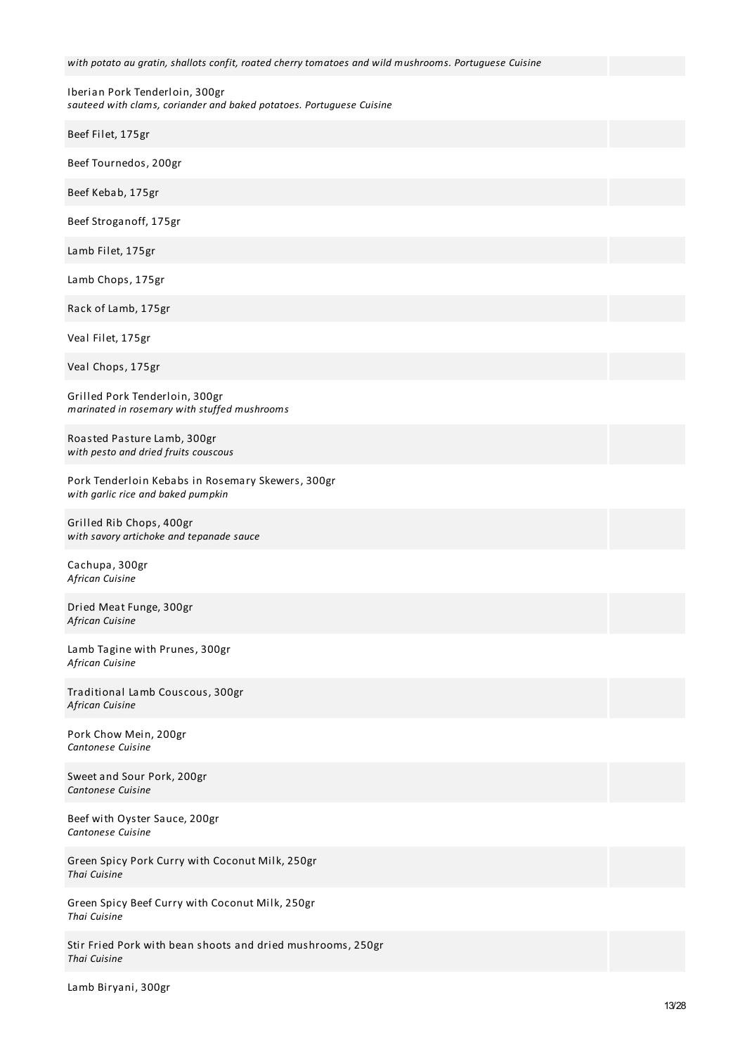*with potato au gratin, shallots confit, roated cherry tomatoes and wild mushrooms. Portuguese Cuisine*

Iberian Pork Tenderloin, 300gr *sauteed with clams, coriander and baked potatoes. Portuguese Cuisine*

| Beef Filet, 175gr                                                                       |  |
|-----------------------------------------------------------------------------------------|--|
| Beef Tournedos, 200gr                                                                   |  |
| Beef Kebab, 175gr                                                                       |  |
| Beef Stroganoff, 175gr                                                                  |  |
| Lamb Filet, 175gr                                                                       |  |
| Lamb Chops, 175gr                                                                       |  |
| Rack of Lamb, 175gr                                                                     |  |
| Veal Filet, 175gr                                                                       |  |
| Veal Chops, 175gr                                                                       |  |
| Grilled Pork Tenderloin, 300gr<br>marinated in rosemary with stuffed mushrooms          |  |
| Roasted Pasture Lamb, 300gr<br>with pesto and dried fruits couscous                     |  |
| Pork Tenderloin Kebabs in Rosemary Skewers, 300gr<br>with garlic rice and baked pumpkin |  |
| Grilled Rib Chops, 400gr<br>with savory artichoke and tepanade sauce                    |  |
| Cachupa, 300gr<br>African Cuisine                                                       |  |
| Dried Meat Funge, 300gr<br>African Cuisine                                              |  |
| Lamb Tagine with Prunes, 300gr<br>African Cuisine                                       |  |
| Traditional Lamb Couscous, 300gr<br>African Cuisine                                     |  |
| Pork Chow Mein, 200gr<br>Cantonese Cuisine                                              |  |
| Sweet and Sour Pork, 200gr<br>Cantonese Cuisine                                         |  |
| Beef with Oyster Sauce, 200gr<br>Cantonese Cuisine                                      |  |
| Green Spicy Pork Curry with Coconut Milk, 250gr<br>Thai Cuisine                         |  |
| Green Spicy Beef Curry with Coconut Milk, 250gr<br>Thai Cuisine                         |  |
| Stir Fried Pork with bean shoots and dried mushrooms, 250gr<br>Thai Cuisine             |  |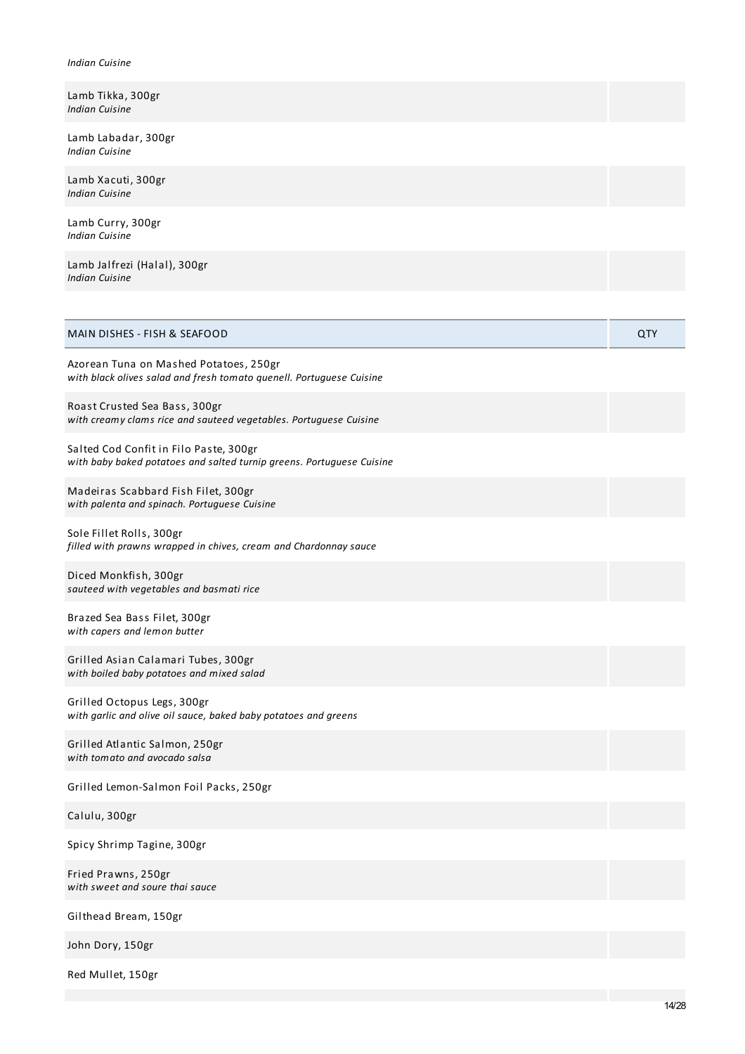#### *Indian Cuisine*

| Lamb Tikka, 300gr |  |
|-------------------|--|
| Indian Cuisine    |  |

Lamb Labadar, 300gr *Indian Cuisine*

Lamb Xacuti, 300gr *Indian Cuisine*

Lamb Curry, 300gr *Indian Cuisine*

Lamb Jalfrezi (Halal), 300gr *Indian Cuisine*

| MAIN DISHES - FISH & SEAFOOD                                                                                    | QTY |
|-----------------------------------------------------------------------------------------------------------------|-----|
| Azorean Tuna on Mashed Potatoes, 250gr<br>with black olives salad and fresh tomato quenell. Portuguese Cuisine  |     |
| Roast Crusted Sea Bass, 300gr<br>with creamy clams rice and sauteed vegetables. Portuguese Cuisine              |     |
| Salted Cod Confit in Filo Paste, 300gr<br>with baby baked potatoes and salted turnip greens. Portuguese Cuisine |     |
| Madeiras Scabbard Fish Filet, 300gr<br>with palenta and spinach. Portuguese Cuisine                             |     |
| Sole Fillet Rolls, 300gr<br>filled with prawns wrapped in chives, cream and Chardonnay sauce                    |     |
| Diced Monkfish, 300gr<br>sauteed with vegetables and basmati rice                                               |     |
| Brazed Sea Bass Filet, 300gr<br>with capers and lemon butter                                                    |     |
| Grilled Asian Calamari Tubes, 300gr<br>with boiled baby potatoes and mixed salad                                |     |
| Grilled Octopus Legs, 300gr<br>with garlic and olive oil sauce, baked baby potatoes and greens                  |     |
| Grilled Atlantic Salmon, 250gr<br>with tomato and avocado salsa                                                 |     |
| Grilled Lemon-Salmon Foil Packs, 250gr                                                                          |     |
| Calulu, 300gr                                                                                                   |     |
| Spicy Shrimp Tagine, 300gr                                                                                      |     |
| Fried Prawns, 250gr<br>with sweet and soure thai sauce                                                          |     |
| Gilthead Bream, 150gr                                                                                           |     |
| John Dory, 150gr                                                                                                |     |

Red Mullet, 150gr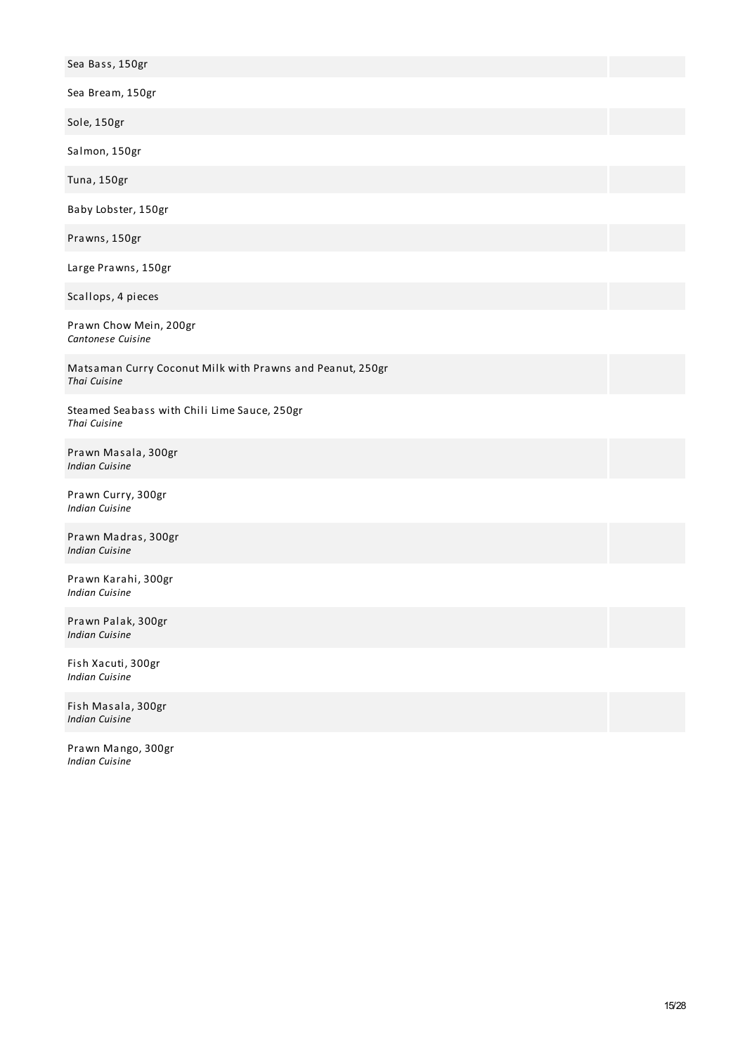| Sea Bass, 150gr                                                           |  |
|---------------------------------------------------------------------------|--|
| Sea Bream, 150gr                                                          |  |
| Sole, 150gr                                                               |  |
| Salmon, 150gr                                                             |  |
| Tuna, 150gr                                                               |  |
| Baby Lobster, 150gr                                                       |  |
| Prawns, 150gr                                                             |  |
| Large Prawns, 150gr                                                       |  |
| Scallops, 4 pieces                                                        |  |
| Prawn Chow Mein, 200gr<br>Cantonese Cuisine                               |  |
| Matsaman Curry Coconut Milk with Prawns and Peanut, 250gr<br>Thai Cuisine |  |
| Steamed Seabass with Chili Lime Sauce, 250gr<br>Thai Cuisine              |  |
| Prawn Masala, 300gr<br><b>Indian Cuisine</b>                              |  |
| Prawn Curry, 300gr<br>Indian Cuisine                                      |  |
| Prawn Madras, 300gr<br><b>Indian Cuisine</b>                              |  |
| Prawn Karahi, 300gr<br>Indian Cuisine                                     |  |
| Prawn Palak, 300gr<br><b>Indian Cuisine</b>                               |  |
| Fish Xacuti, 300gr<br><b>Indian Cuisine</b>                               |  |
| Fish Masala, 300gr<br><b>Indian Cuisine</b>                               |  |

Prawn Mango, 300gr *Indian Cuisine*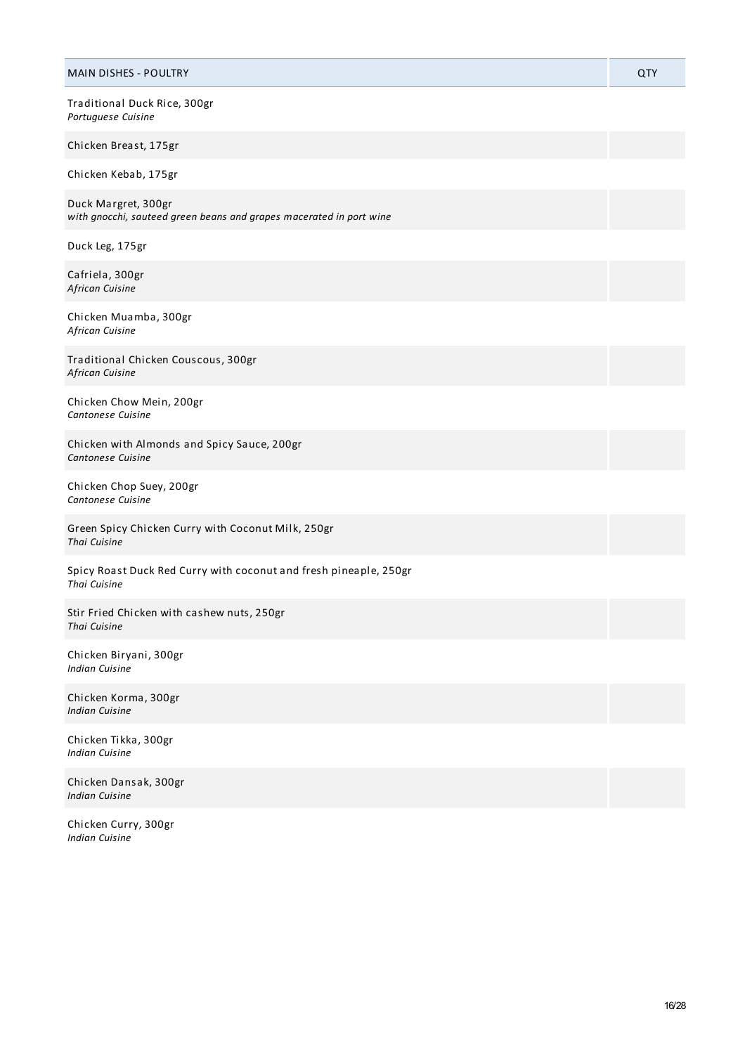| <b>MAIN DISHES - POULTRY</b>                                                               | QTY |
|--------------------------------------------------------------------------------------------|-----|
| Traditional Duck Rice, 300gr<br>Portuguese Cuisine                                         |     |
| Chicken Breast, 175gr                                                                      |     |
| Chicken Kebab, 175gr                                                                       |     |
| Duck Margret, 300gr<br>with gnocchi, sauteed green beans and grapes macerated in port wine |     |
| Duck Leg, 175gr                                                                            |     |
| Cafriela, 300gr<br>African Cuisine                                                         |     |
| Chicken Muamba, 300gr<br>African Cuisine                                                   |     |
| Traditional Chicken Couscous, 300gr<br>African Cuisine                                     |     |
| Chicken Chow Mein, 200gr<br>Cantonese Cuisine                                              |     |
| Chicken with Almonds and Spicy Sauce, 200gr<br>Cantonese Cuisine                           |     |
| Chicken Chop Suey, 200gr<br>Cantonese Cuisine                                              |     |
| Green Spicy Chicken Curry with Coconut Milk, 250gr<br>Thai Cuisine                         |     |
| Spicy Roast Duck Red Curry with coconut and fresh pineaple, 250gr<br>Thai Cuisine          |     |
| Stir Fried Chicken with cashew nuts, 250gr<br>Thai Cuisine                                 |     |
| Chicken Biryani, 300gr<br><b>Indian Cuisine</b>                                            |     |
| Chicken Korma, 300gr<br><b>Indian Cuisine</b>                                              |     |
| Chicken Tikka, 300gr<br><b>Indian Cuisine</b>                                              |     |
| Chicken Dansak, 300gr<br><b>Indian Cuisine</b>                                             |     |

Chicken Curry, 300gr *Indian Cuisine*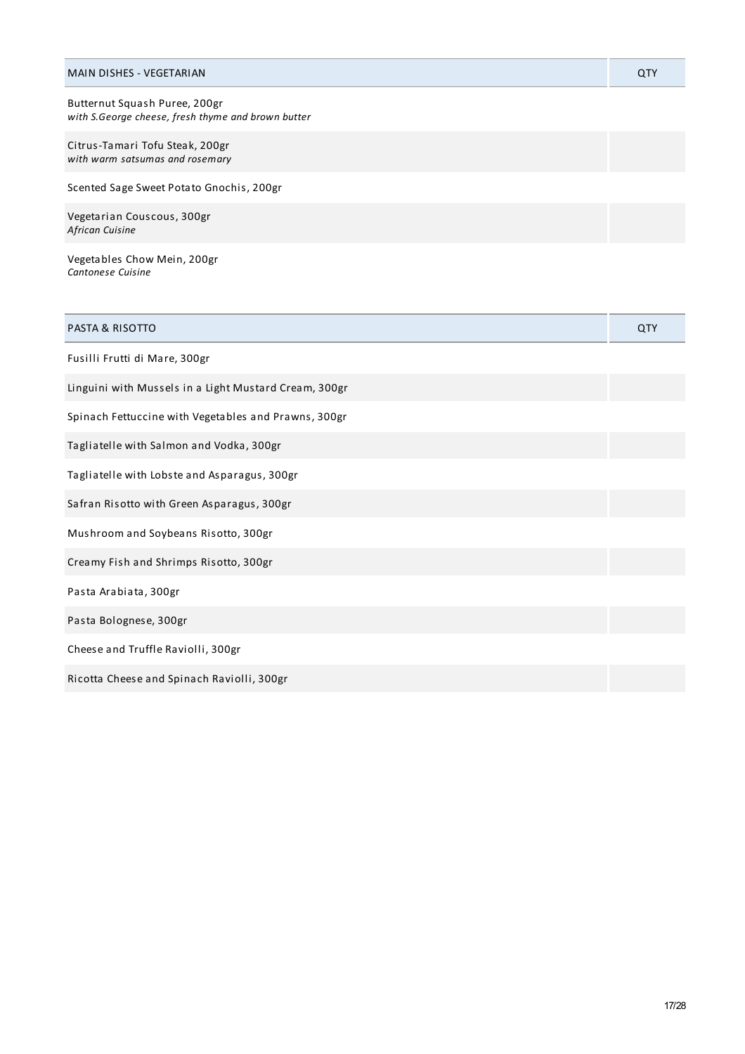| MAIN DISHES - VEGETARIAN                                                            | QTY |
|-------------------------------------------------------------------------------------|-----|
| Butternut Squash Puree, 200gr<br>with S.George cheese, fresh thyme and brown butter |     |
| Citrus-Tamari Tofu Steak, 200gr<br>with warm satsumas and rosemary                  |     |
| Scented Sage Sweet Potato Gnochis, 200gr                                            |     |
| Vegetarian Couscous, 300gr<br>African Cuisine                                       |     |
| Vegetables Chow Mein, 200gr                                                         |     |

| Cantonese Cuisine |  |
|-------------------|--|
|                   |  |

| <b>PASTA &amp; RISOTTO</b>                            | QTY |
|-------------------------------------------------------|-----|
| Fusilli Frutti di Mare, 300gr                         |     |
| Linguini with Mussels in a Light Mustard Cream, 300gr |     |
| Spinach Fettuccine with Vegetables and Prawns, 300gr  |     |
| Tagliatelle with Salmon and Vodka, 300gr              |     |
| Tagliatelle with Lobste and Asparagus, 300gr          |     |
| Safran Risotto with Green Asparagus, 300gr            |     |
| Mushroom and Soybeans Risotto, 300gr                  |     |
| Creamy Fish and Shrimps Risotto, 300gr                |     |
| Pasta Arabiata, 300gr                                 |     |
| Pasta Bolognese, 300gr                                |     |
| Cheese and Truffle Raviolli, 300gr                    |     |
| Ricotta Cheese and Spinach Raviolli, 300gr            |     |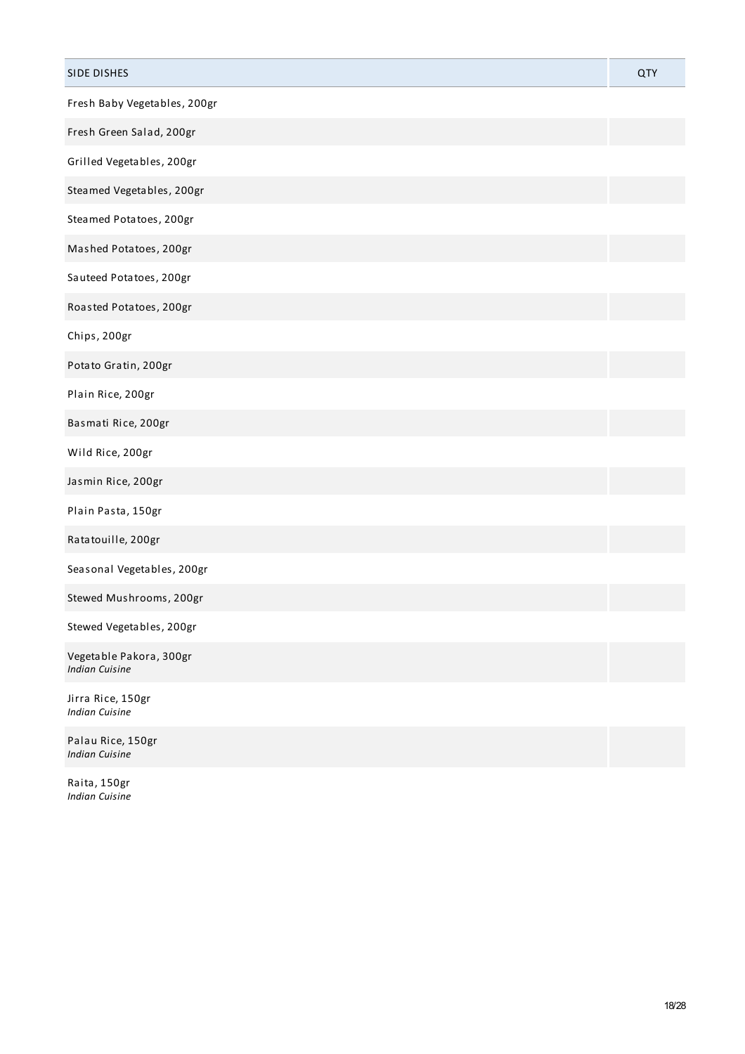| <b>SIDE DISHES</b>                               | QTY |
|--------------------------------------------------|-----|
| Fresh Baby Vegetables, 200gr                     |     |
| Fresh Green Salad, 200gr                         |     |
| Grilled Vegetables, 200gr                        |     |
| Steamed Vegetables, 200gr                        |     |
| Steamed Potatoes, 200gr                          |     |
| Mashed Potatoes, 200gr                           |     |
| Sauteed Potatoes, 200gr                          |     |
| Roasted Potatoes, 200gr                          |     |
| Chips, 200gr                                     |     |
| Potato Gratin, 200gr                             |     |
| Plain Rice, 200gr                                |     |
| Basmati Rice, 200gr                              |     |
| Wild Rice, 200gr                                 |     |
| Jasmin Rice, 200gr                               |     |
| Plain Pasta, 150gr                               |     |
| Ratatouille, 200gr                               |     |
| Seasonal Vegetables, 200gr                       |     |
| Stewed Mushrooms, 200gr                          |     |
| Stewed Vegetables, 200gr                         |     |
| Vegetable Pakora, 300gr<br><b>Indian Cuisine</b> |     |
| Jirra Rice, 150gr<br><b>Indian Cuisine</b>       |     |
| Palau Rice, 150gr<br><b>Indian Cuisine</b>       |     |

Raita, 150gr *Indian Cuisine*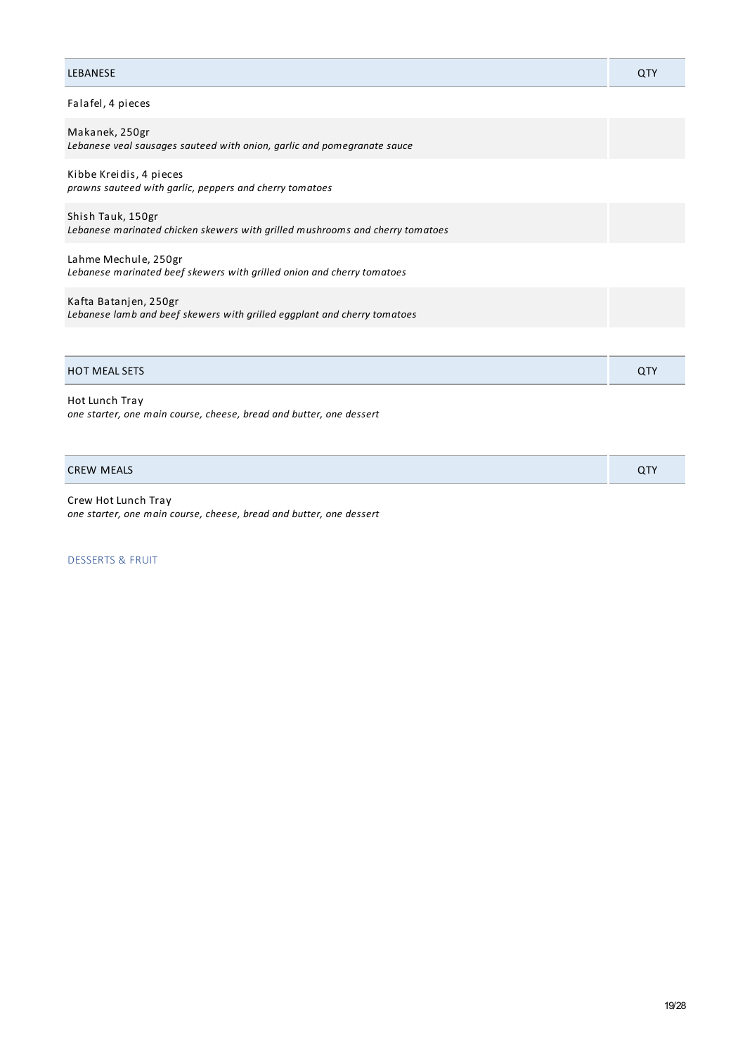| <b>LEBANESE</b>                                                                                    | QTY        |
|----------------------------------------------------------------------------------------------------|------------|
| Falafel, 4 pieces                                                                                  |            |
| Makanek, 250gr<br>Lebanese veal sausages sauteed with onion, garlic and pomegranate sauce          |            |
| Kibbe Kreidis, 4 pieces<br>prawns sauteed with garlic, peppers and cherry tomatoes                 |            |
| Shish Tauk, 150gr<br>Lebanese marinated chicken skewers with grilled mushrooms and cherry tomatoes |            |
| Lahme Mechule, 250gr<br>Lebanese marinated beef skewers with grilled onion and cherry tomatoes     |            |
| Kafta Batanjen, 250gr<br>Lebanese lamb and beef skewers with grilled eggplant and cherry tomatoes  |            |
|                                                                                                    |            |
| <b>HOT MEAL SETS</b>                                                                               | <b>QTY</b> |

Hot Lunch Tray *one starter, one main course, cheese, bread and butter, one dessert*

CREW MEALS QTY

Crew Hot Lunch Tray *one starter, one main course, cheese, bread and butter, one dessert*

DESSERTS & FRUIT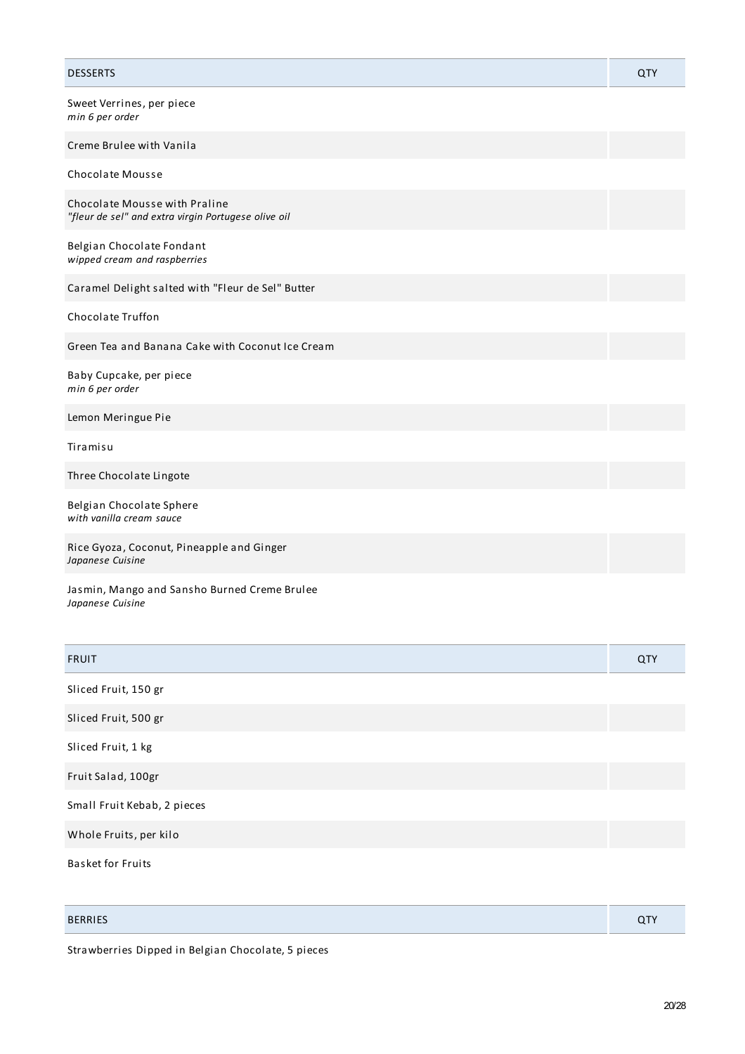| <b>DESSERTS</b>                                                                      | QTY |
|--------------------------------------------------------------------------------------|-----|
| Sweet Verrines, per piece<br>min 6 per order                                         |     |
| Creme Brulee with Vanila                                                             |     |
| Chocolate Mousse                                                                     |     |
| Chocolate Mousse with Praline<br>"fleur de sel" and extra virgin Portugese olive oil |     |
| Belgian Chocolate Fondant<br>wipped cream and raspberries                            |     |
| Caramel Delight salted with "Fleur de Sel" Butter                                    |     |
| <b>Chocolate Truffon</b>                                                             |     |
| Green Tea and Banana Cake with Coconut Ice Cream                                     |     |
| Baby Cupcake, per piece<br>min 6 per order                                           |     |
| Lemon Meringue Pie                                                                   |     |
| Tiramisu                                                                             |     |
| Three Chocolate Lingote                                                              |     |
| Belgian Chocolate Sphere<br>with vanilla cream sauce                                 |     |
| Rice Gyoza, Coconut, Pineapple and Ginger<br>Japanese Cuisine                        |     |
| Jasmin, Mango and Sansho Burned Creme Brulee                                         |     |

*Japanese Cuisine*

| <b>FRUIT</b>                | QTY |
|-----------------------------|-----|
| Sliced Fruit, 150 gr        |     |
| Sliced Fruit, 500 gr        |     |
| Sliced Fruit, 1 kg          |     |
| Fruit Salad, 100gr          |     |
| Small Fruit Kebab, 2 pieces |     |
| Whole Fruits, per kilo      |     |
| <b>Basket for Fruits</b>    |     |

| <b>BERRIES</b> | ~- |
|----------------|----|

Strawberries Dipped in Belgian Chocolate, 5 pieces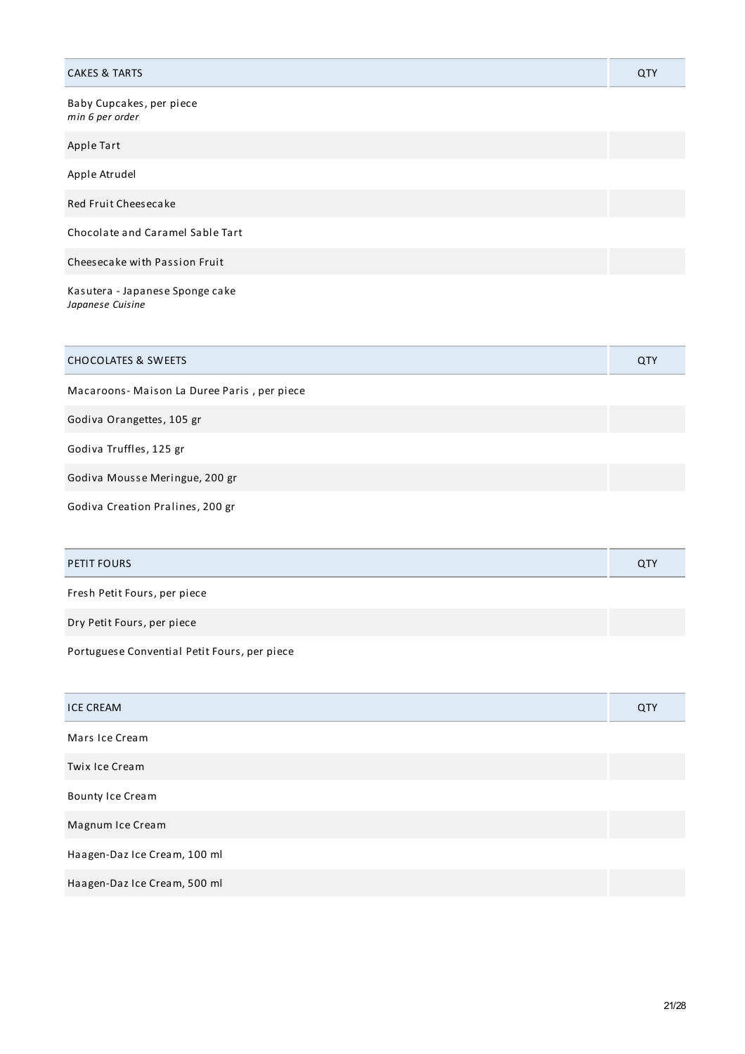| <b>CAKES &amp; TARTS</b>                            | QTY |
|-----------------------------------------------------|-----|
| Baby Cupcakes, per piece<br>min 6 per order         |     |
| Apple Tart                                          |     |
| Apple Atrudel                                       |     |
| Red Fruit Cheesecake                                |     |
| Chocolate and Caramel Sable Tart                    |     |
| Cheesecake with Passion Fruit                       |     |
| Kasutera - Japanese Sponge cake<br>Japanese Cuisine |     |

| <b>CHOCOLATES &amp; SWEETS</b>             | <b>QTY</b> |
|--------------------------------------------|------------|
| Macaroons-Maison La Duree Paris, per piece |            |
| Godiva Orangettes, 105 gr                  |            |
| Godiva Truffles, 125 gr                    |            |

Godiva Mousse Meringue, 200 gr

Godiva Creation Pralines, 200 gr

| PETIT FOURS                  | QT |
|------------------------------|----|
| Fresh Petit Fours, per piece |    |

Dry Petit Fours, per piece

Portuguese Convential Petit Fours, per piece

| <b>ICE CREAM</b>             | QTY |
|------------------------------|-----|
| Mars Ice Cream               |     |
| Twix Ice Cream               |     |
| <b>Bounty Ice Cream</b>      |     |
| Magnum Ice Cream             |     |
| Haagen-Daz Ice Cream, 100 ml |     |
| Haagen-Daz Ice Cream, 500 ml |     |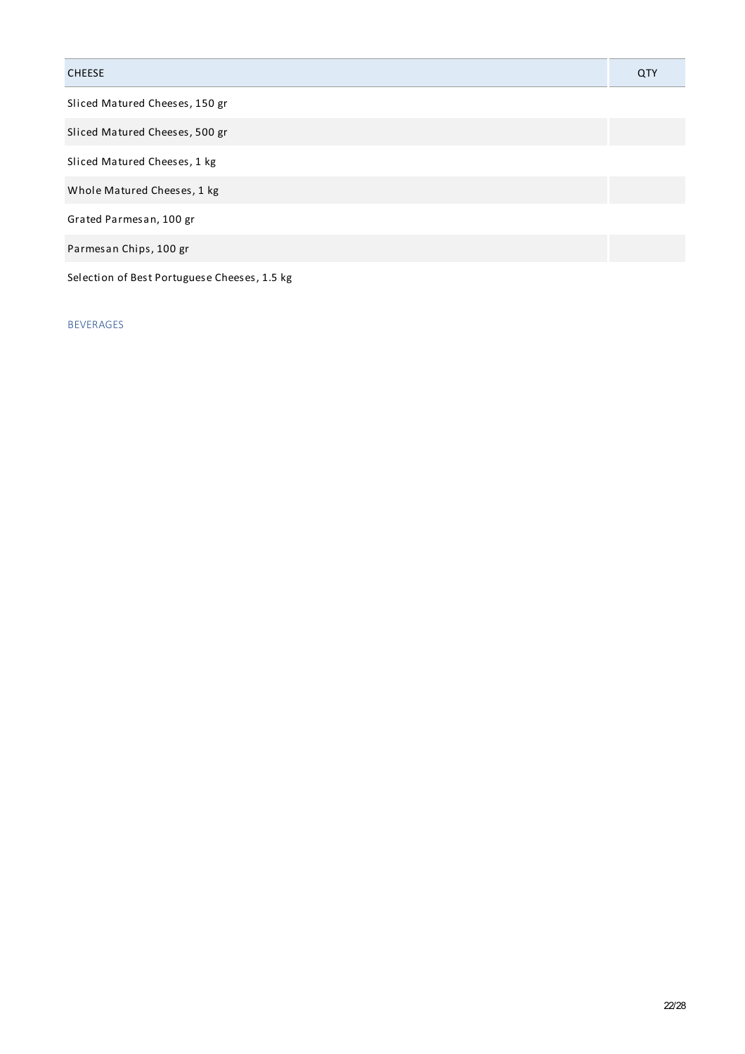# CHEESE QTY Sliced Matured Cheeses, 150 gr Sliced Matured Cheeses, 500 gr Sliced Matured Cheeses, 1 kg Whole Matured Cheeses, 1 kg Grated Parmesan, 100 gr Parmesan Chips, 100 gr Selection of Best Portuguese Cheeses, 1.5 kg

### BEVERAGES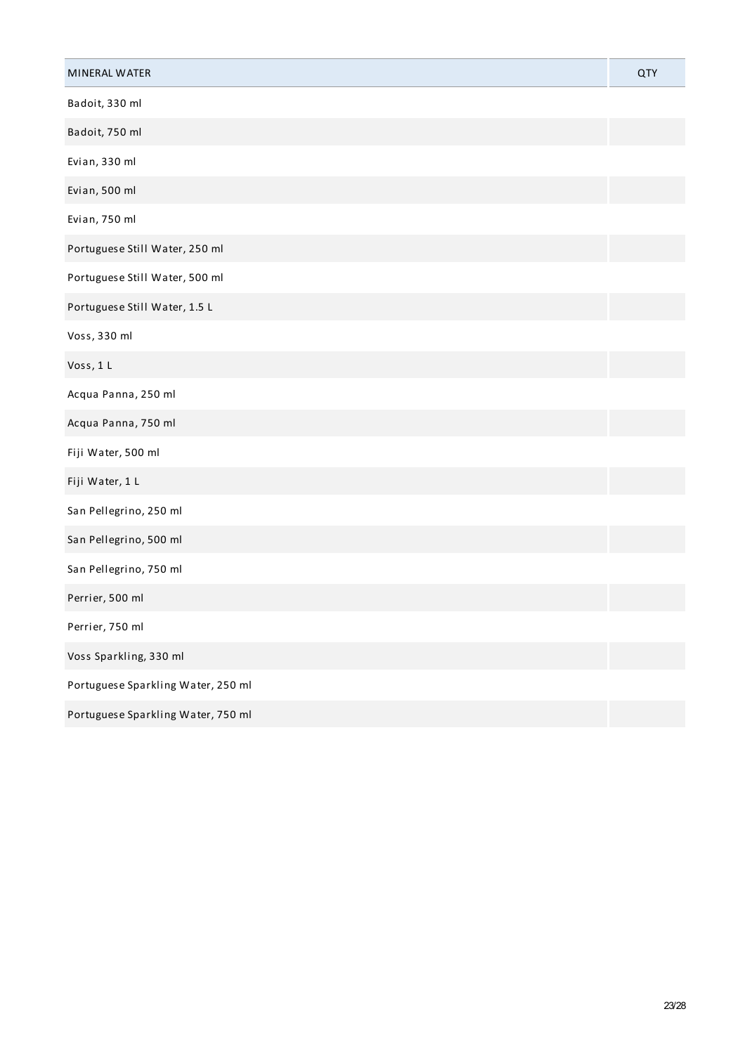| MINERAL WATER                      | QTY |
|------------------------------------|-----|
| Badoit, 330 ml                     |     |
| Badoit, 750 ml                     |     |
| Evian, 330 ml                      |     |
| Evian, 500 ml                      |     |
| Evian, 750 ml                      |     |
| Portuguese Still Water, 250 ml     |     |
| Portuguese Still Water, 500 ml     |     |
| Portuguese Still Water, 1.5 L      |     |
| Voss, 330 ml                       |     |
| Voss, 1 L                          |     |
| Acqua Panna, 250 ml                |     |
| Acqua Panna, 750 ml                |     |
| Fiji Water, 500 ml                 |     |
| Fiji Water, 1 L                    |     |
| San Pellegrino, 250 ml             |     |
| San Pellegrino, 500 ml             |     |
| San Pellegrino, 750 ml             |     |
| Perrier, 500 ml                    |     |
| Perrier, 750 ml                    |     |
| Voss Sparkling, 330 ml             |     |
| Portuguese Sparkling Water, 250 ml |     |
| Portuguese Sparkling Water, 750 ml |     |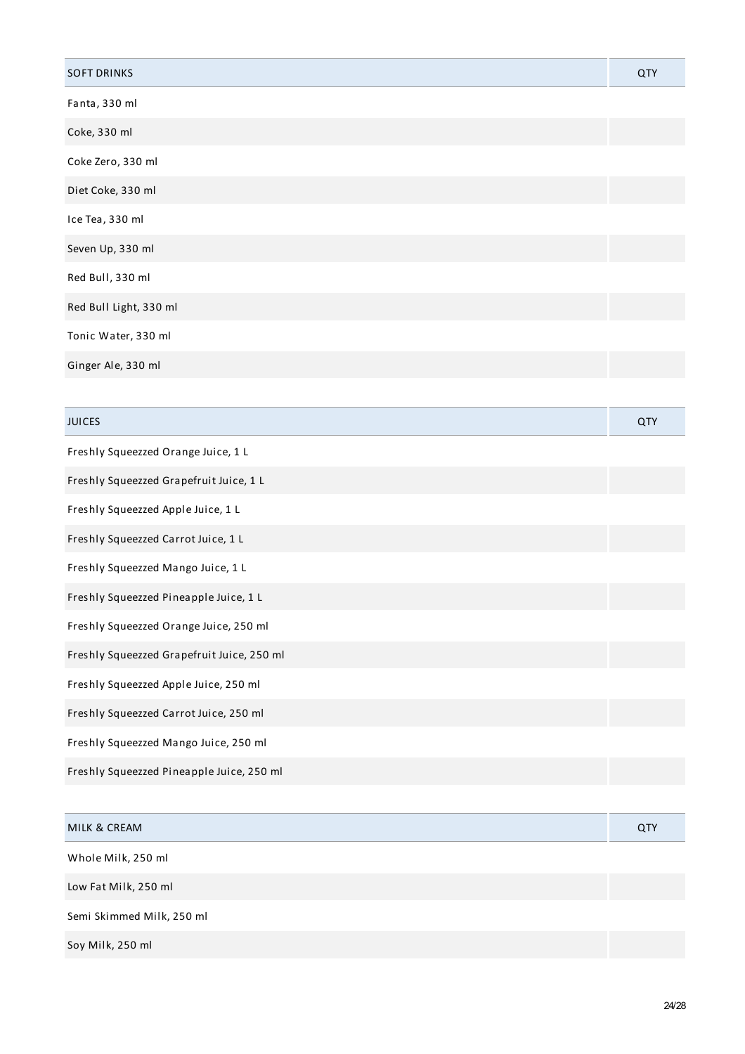| <b>SOFT DRINKS</b>     | QTY |
|------------------------|-----|
| Fanta, 330 ml          |     |
| Coke, 330 ml           |     |
| Coke Zero, 330 ml      |     |
| Diet Coke, 330 ml      |     |
| Ice Tea, 330 ml        |     |
| Seven Up, 330 ml       |     |
| Red Bull, 330 ml       |     |
| Red Bull Light, 330 ml |     |
| Tonic Water, 330 ml    |     |
| Ginger Ale, 330 ml     |     |

| <b>JUICES</b>                              | QTY |
|--------------------------------------------|-----|
| Freshly Squeezzed Orange Juice, 1 L        |     |
| Freshly Squeezzed Grapefruit Juice, 1 L    |     |
| Freshly Squeezzed Apple Juice, 1 L         |     |
| Freshly Squeezzed Carrot Juice, 1 L        |     |
| Freshly Squeezzed Mango Juice, 1 L         |     |
| Freshly Squeezzed Pineapple Juice, 1 L     |     |
| Freshly Squeezzed Orange Juice, 250 ml     |     |
| Freshly Squeezzed Grapefruit Juice, 250 ml |     |
| Freshly Squeezzed Apple Juice, 250 ml      |     |
| Freshly Squeezzed Carrot Juice, 250 ml     |     |
| Freshly Squeezzed Mango Juice, 250 ml      |     |
| Freshly Squeezzed Pineapple Juice, 250 ml  |     |
|                                            |     |

| <b>MILK &amp; CREAM</b>   | <b>QTY</b> |
|---------------------------|------------|
| Whole Milk, 250 ml        |            |
| Low Fat Milk, 250 ml      |            |
| Semi Skimmed Milk, 250 ml |            |
| Soy Milk, 250 ml          |            |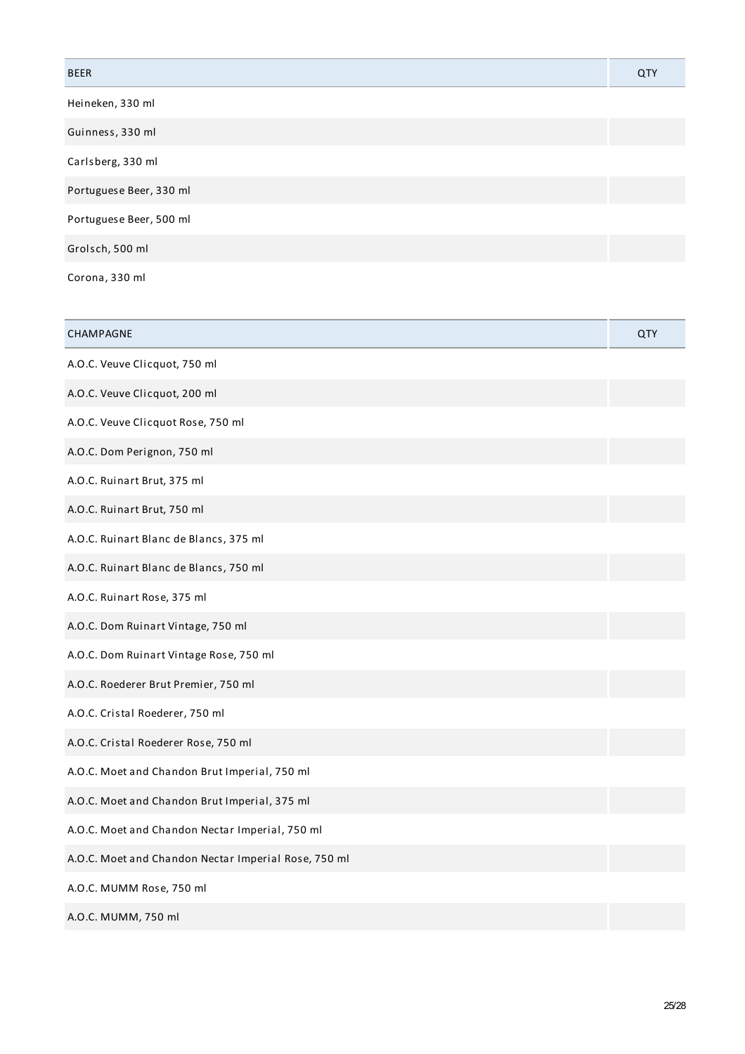| <b>BEER</b>                                                                                                    | QTY |
|----------------------------------------------------------------------------------------------------------------|-----|
| Heineken, 330 ml                                                                                               |     |
| Guinness, 330 ml                                                                                               |     |
| Carlsberg, 330 ml                                                                                              |     |
| Portuguese Beer, 330 ml                                                                                        |     |
| Portuguese Beer, 500 ml                                                                                        |     |
| Grolsch, 500 ml                                                                                                |     |
| 1000 - Carolina Andrea, Andrea Andrea, Andrea Andrea, Andrea Andrea, Andrea Andrea, Andrea Andrea, Andrea Andr |     |

Corona, 330 ml

| CHAMPAGNE                                            | QTY |
|------------------------------------------------------|-----|
| A.O.C. Veuve Clicquot, 750 ml                        |     |
| A.O.C. Veuve Clicquot, 200 ml                        |     |
| A.O.C. Veuve Clicquot Rose, 750 ml                   |     |
| A.O.C. Dom Perignon, 750 ml                          |     |
| A.O.C. Ruinart Brut, 375 ml                          |     |
| A.O.C. Ruinart Brut, 750 ml                          |     |
| A.O.C. Ruinart Blanc de Blancs, 375 ml               |     |
| A.O.C. Ruinart Blanc de Blancs, 750 ml               |     |
| A.O.C. Ruinart Rose, 375 ml                          |     |
| A.O.C. Dom Ruinart Vintage, 750 ml                   |     |
| A.O.C. Dom Ruinart Vintage Rose, 750 ml              |     |
| A.O.C. Roederer Brut Premier, 750 ml                 |     |
| A.O.C. Cristal Roederer, 750 ml                      |     |
| A.O.C. Cristal Roederer Rose, 750 ml                 |     |
| A.O.C. Moet and Chandon Brut Imperial, 750 ml        |     |
| A.O.C. Moet and Chandon Brut Imperial, 375 ml        |     |
| A.O.C. Moet and Chandon Nectar Imperial, 750 ml      |     |
| A.O.C. Moet and Chandon Nectar Imperial Rose, 750 ml |     |
| A.O.C. MUMM Rose, 750 ml                             |     |
| A.O.C. MUMM, 750 ml                                  |     |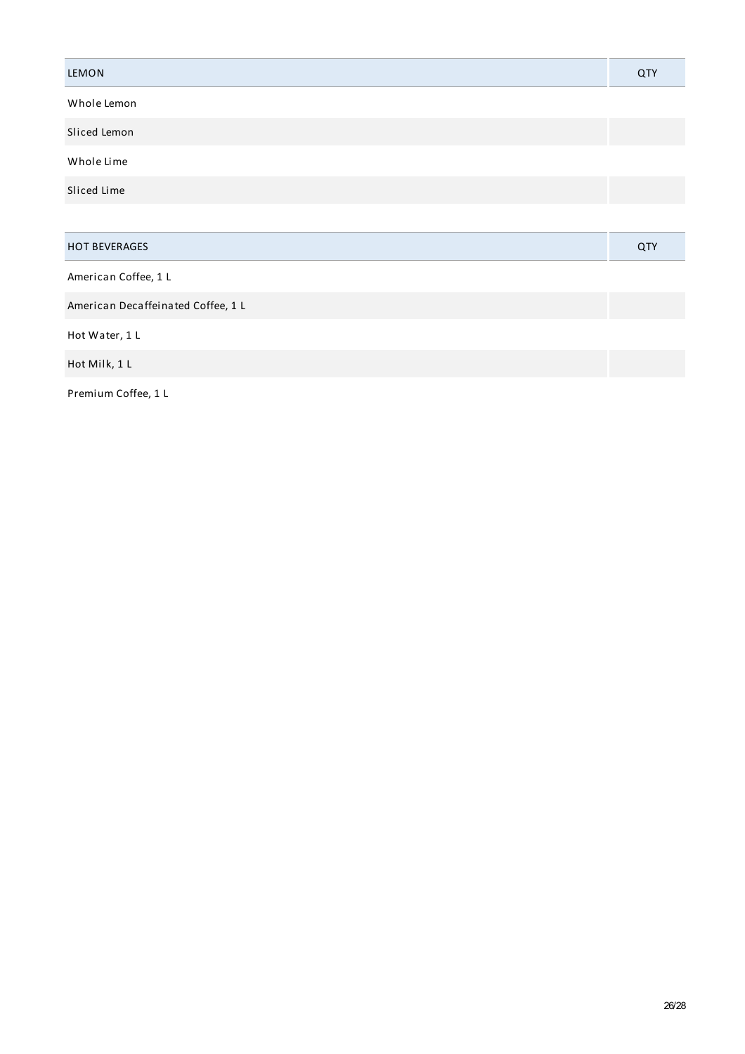| LEMON                              | QTY |
|------------------------------------|-----|
| Whole Lemon                        |     |
| Sliced Lemon                       |     |
| Whole Lime                         |     |
| Sliced Lime                        |     |
|                                    |     |
| <b>HOT BEVERAGES</b>               | QTY |
| American Coffee, 1 L               |     |
| American Decaffeinated Coffee, 1 L |     |
| Hot Water, 1 L                     |     |
| Hot Milk, 1 L                      |     |

Premium Coffee, 1 L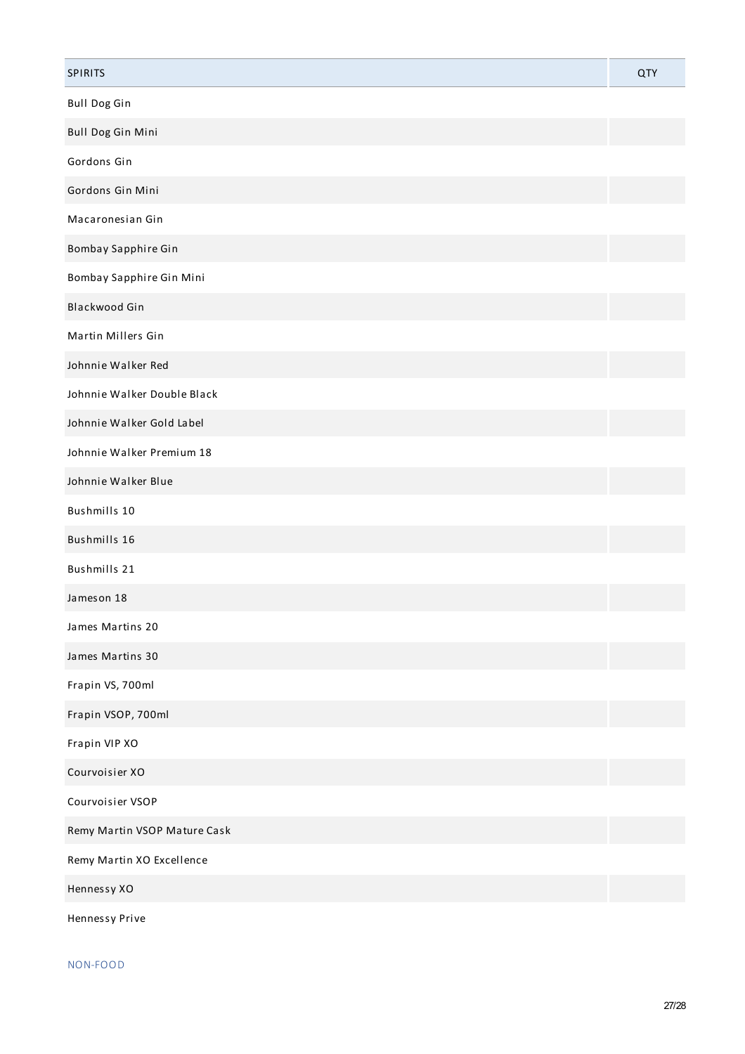| <b>SPIRITS</b>               | QTY |
|------------------------------|-----|
| <b>Bull Dog Gin</b>          |     |
| Bull Dog Gin Mini            |     |
| Gordons Gin                  |     |
| Gordons Gin Mini             |     |
| Macaronesian Gin             |     |
| Bombay Sapphire Gin          |     |
| Bombay Sapphire Gin Mini     |     |
| Blackwood Gin                |     |
| Martin Millers Gin           |     |
| Johnnie Walker Red           |     |
| Johnnie Walker Double Black  |     |
| Johnnie Walker Gold Label    |     |
| Johnnie Walker Premium 18    |     |
| Johnnie Walker Blue          |     |
| Bushmills 10                 |     |
| Bushmills 16                 |     |
| Bushmills 21                 |     |
| Jameson 18                   |     |
| James Martins 20             |     |
| James Martins 30             |     |
| Frapin VS, 700ml             |     |
| Frapin VSOP, 700ml           |     |
| Frapin VIP XO                |     |
| Courvoisier XO               |     |
| Courvoisier VSOP             |     |
| Remy Martin VSOP Mature Cask |     |
| Remy Martin XO Excellence    |     |
| Hennessy XO                  |     |
| Hennessy Prive               |     |

NON-FOOD